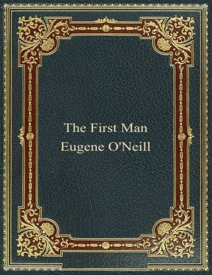# The First Man Eugene O'Neill

เปล่ากล้วยให้คุณใหม่เปิดเปล่าเปิดเปล่าเปิดเปล่าเปิดเปล่า

المتألف ومراقبه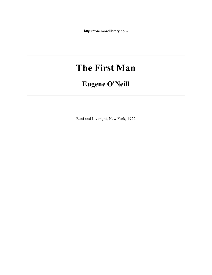https://onemorelibrary.com

# **The First Man**

## **Eugene O'Neill**

Boni and Liveright, New York, 1922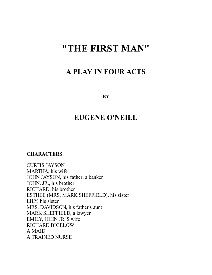# **"THE FIRST MAN"**

### **A PLAY IN FOUR ACTS**

**BY**

## **EUGENE O'NEILL**

**CHARACTERS**

CURTIS JAYSON MARTHA, his wife JOHN JAYSON, his father, a banker JOHN, JR., his brother RICHARD, his brother ESTHEE (MRS. MARK SHEFFIELD), his sister LILY, his sister MRS. DAVIDSON, his father's aunt MARK SHEFFIELD, a lawyer EMILY, JOHN JR.'S wife RICHARD BIGELOW A MAID A TRAINED NURSE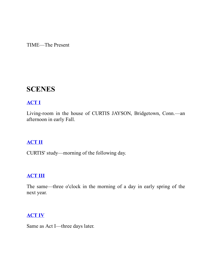TIME—The Present

## **SCENES**

#### **[ACT](file:///tmp/calibre_4.11.2_tmp_uIHefX/a9CIaY_pdf_out/OEBPS/Text/%40public%40vhost%40g%40gutenberg%40html%40files%404026%404026-h%404026-h-0.htm.html#act1) I**

Living-room in the house of CURTIS JAYSON, Bridgetown, Conn.—an afternoon in early Fall.

#### **[ACT](file:///tmp/calibre_4.11.2_tmp_uIHefX/a9CIaY_pdf_out/OEBPS/Text/%40public%40vhost%40g%40gutenberg%40html%40files%404026%404026-h%404026-h-0.htm.html#act2) II**

CURTIS' study—morning of the following day.

#### **[ACT](file:///tmp/calibre_4.11.2_tmp_uIHefX/a9CIaY_pdf_out/OEBPS/Text/%40public%40vhost%40g%40gutenberg%40html%40files%404026%404026-h%404026-h-0.htm.html#act3) III**

The same—three o'clock in the morning of a day in early spring of the next year.

#### **[ACT](file:///tmp/calibre_4.11.2_tmp_uIHefX/a9CIaY_pdf_out/OEBPS/Text/%40public%40vhost%40g%40gutenberg%40html%40files%404026%404026-h%404026-h-0.htm.html#act4) IV**

Same as Act I—three days later.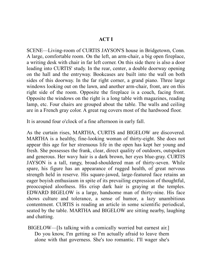#### **ACT I**

SCENE—Living-room of CURTIS JAYSON'S house in Bridgetown, Conn. A large, comfortable room. On the left, an arm-chair, a big open fireplace, a writing desk with chair in far left corner. On this side there is also a door leading into CURTIS' study. In the rear, center, a double doorway opening on the hall and the entryway. Bookcases are built into the wall on both sides of this doorway. In the far right corner, a grand piano. Three large windows looking out on the lawn, and another arm-chair, front, are on this right side of the room. Opposite the fireplace is a couch, facing front. Opposite the windows on the right is a long table with magazines, reading lamp, etc. Four chairs are grouped about the table. The walls and ceiling are in a French gray color. A great rug covers most of the hardwood floor.

It is around four o'clock of a fine afternoon in early fall.

As the curtain rises, MARTHA, CURTIS and BIGELOW are discovered. MARTHA is a healthy, fine-looking woman of thirty-eight. She does not appear this age for her strenuous life in the open has kept her young and fresh. She possesses the frank, clear, direct quality of outdoors, outspoken and generous. Her wavy hair is a dark brown, her eyes blue-gray. CURTIS JAYSON is a tall, rangy, broad-shouldered man of thirty-seven. While spare, his figure has an appearance of rugged health, of great nervous strength held in reserve. His square-jawed, large-featured face retains an eager boyish enthusiasm in spite of its prevailing expression of thoughtful, preoccupied aloofness. His crisp dark hair is graying at the temples. EDWARD BIGELOW is a large, handsome man of thirty-nine. His face shows culture and tolerance, a sense of humor, a lazy unambitious contentment. CURTIS is reading an article in some scientific periodical, seated by the table. MARTHA and BIGELOW are sitting nearby, laughing and chatting.

BIGELOW—[Is talking with a comically worried but earnest air.] Do you know, I'm getting so I'm actually afraid to leave them alone with that governess. She's too romantic. I'll wager she's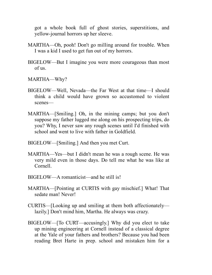got a whole book full of ghost stories, superstitions, and yellow-journal horrors up her sleeve.

- MARTHA—Oh, pooh! Don't go milling around for trouble. When I was a kid I used to get fun out of my horrors.
- BIGELOW—But I imagine you were more courageous than most of us.
- MARTHA—Why?
- BIGELOW—Well, Nevada—the Far West at that time—I should think a child would have grown so accustomed to violent scenes—
- MARTHA—[Smiling.] Oh, in the mining camps; but you don't suppose my father lugged me along on his prospecting trips, do you? Why, I never saw any rough scenes until I'd finished with school and went to live with father in Goldfield.
- BIGELOW—[Smiling.] And then you met Curt.
- MARTHA—Yes—but I didn't mean he was a rough scene. He was very mild even in those days. Do tell me what he was like at Cornell.
- BIGELOW—A romanticist—and he still is!
- MARTHA—[Pointing at CURTIS with gay mischief.] What! That sedate man! Never!
- CURTIS—[Looking up and smiling at them both affectionately lazily.] Don't mind him, Martha. He always was crazy.
- BIGELOW—[To CURT—accusingly.] Why did you elect to take up mining engineering at Cornell instead of a classical degree at the Yale of your fathers and brothers? Because you had been reading Bret Harte in prep. school and mistaken him for a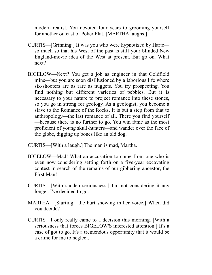modern realist. You devoted four years to grooming yourself for another outcast of Poker Flat. [MARTHA laughs.]

- CURTIS—[Grinning.] It was you who were hypnotized by Harte so much so that his West of the past is still your blinded New England-movie idea of the West at present. But go on. What next?
- BIGELOW—Next? You get a job as engineer in that Goldfield mine—but you are soon disillusioned by a laborious life where six-shooters are as rare as nuggets. You try prospecting. You find nothing but different varieties of pebbles. But it is necessary to your nature to project romance into these stones, so you go in strong for geology. As a geologist, you become a slave to the Romance of the Rocks. It is but a step from that to anthropology—the last romance of all. There you find yourself —because there is no further to go. You win fame as the most proficient of young skull-hunters—and wander over the face of the globe, digging up bones like an old dog.
- CURTIS—[With a laugh.] The man is mad, Martha.
- BIGELOW—Mad! What an accusation to come from one who is even now considering setting forth on a five-year excavating contest in search of the remains of our gibbering ancestor, the First Man!
- CURTIS—[With sudden seriousness.] I'm not considering it any longer. I've decided to go.
- MARTHA—[Starting—the hurt showing in her voice.] When did you decide?
- CURTIS—I only really came to a decision this morning. [With a seriousness that forces BIGELOW'S interested attention.] It's a case of got to go. It's a tremendous opportunity that it would be a crime for me to neglect.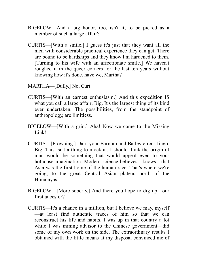- BIGELOW—And a big honor, too, isn't it, to be picked as a member of such a large affair?
- CURTIS—[With a smile.] I guess it's just that they want all the men with considerable practical experience they can get. There are bound to be hardships and they know I'm hardened to them. [Turning to his wife with an affectionate smile.] We haven't roughed it in the queer corners for the last ten years without knowing how it's done, have we, Martha?
- MARTHA—[Dully.] No, Curt.
- CURTIS—[With an earnest enthusiasm.] And this expedition IS what you call a large affair, Big. It's the largest thing of its kind ever undertaken. The possibilities, from the standpoint of anthropology, are limitless.
- BIGELOW—[With a grin.] Aha! Now we come to the Missing Link!
- CURTIS—[Frowning.] Darn your Barnum and Bailey circus lingo, Big. This isn't a thing to mock at. I should think the origin of man would be something that would appeal even to your hothouse imagination. Modern science believes—knows—that Asia was the first home of the human race. That's where we're going, to the great Central Asian plateau north of the Himalayas.
- BIGELOW—[More soberly.] And there you hope to dig up—our first ancestor?
- CURTIS—It's a chance in a million, but I believe we may, myself —at least find authentic traces of him so that we can reconstruct his life and habits. I was up in that country a lot while I was mining advisor to the Chinese government—did some of my own work on the side. The extraordinary results I obtained with the little means at my disposal convinced me of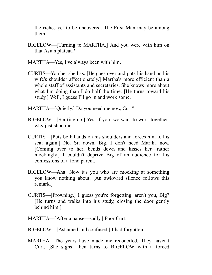the riches yet to be uncovered. The First Man may be among them.

- BIGELOW—[Turning to MARTHA.] And you were with him on that Asian plateau?
- MARTHA—Yes, I've always been with him.
- CURTIS—You bet she has. [He goes over and puts his hand on his wife's shoulder affectionately.] Martha's more efficient than a whole staff of assistants and secretaries. She knows more about what I'm doing than I do half the time. [He turns toward his study.] Well, I guess I'll go in and work some.
- MARTHA—[Quietly.] Do you need me now, Curt?
- BIGELOW—[Starting up.] Yes, if you two want to work together, why just shoo me—
- CURTIS—[Puts both hands on his shoulders and forces him to his seat again.] No. Sit down, Big. I don't need Martha now. [Coming over to her, bends down and kisses her—rather mockingly.] I couldn't deprive Big of an audience for his confessions of a fond parent.
- BIGELOW—Aha! Now it's you who are mocking at something you know nothing about. [An awkward silence follows this remark.]
- CURTIS—[Frowning.] I guess you're forgetting, aren't you, Big? [He turns and walks into his study, closing the door gently behind him.]
- MARTHA—[After a pause—sadly.] Poor Curt.
- BIGELOW—[Ashamed and confused.] I had forgotten—
- MARTHA—The years have made me reconciled. They haven't Curt. [She sighs—then turns to BIGELOW with a forced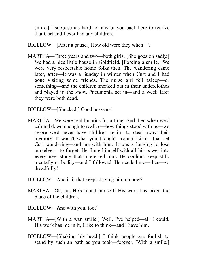smile.] I suppose it's hard for any of you back here to realize that Curt and I ever had any children.

BIGELOW—[After a pause.] How old were they when—?

MARTHA—Three years and two—both girls. [She goes on sadly.] We had a nice little house in Goldfield. [Forcing a smile.] We were very respectable home folks then. The wandering came later, after—It was a Sunday in winter when Curt and I had gone visiting some friends. The nurse girl fell asleep—or something—and the children sneaked out in their underclothes and played in the snow. Pneumonia set in—and a week later they were both dead.

BIGELOW—[Shocked.] Good heavens!

- MARTHA—We were real lunatics for a time. And then when we'd calmed down enough to realize—how things stood with us—we swore we'd never have children again—to steal away their memory. It wasn't what you thought—romanticism—that set Curt wandering—and me with him. It was a longing to lose ourselves—to forget. He flung himself with all his power into every new study that interested him. He couldn't keep still, mentally or bodily—and I followed. He needed me—then—so dreadfully!
- BIGELOW—And is it that keeps driving him on now?
- MARTHA—Oh, no. He's found himself. His work has taken the place of the children.
- BIGELOW—And with you, too?
- MARTHA—[With a wan smile.] Well, I've helped—all I could. His work has me in it, I like to think—and I have him.
- BIGELOW—[Shaking his head.] I think people are foolish to stand by such an oath as you took—forever. [With a smile.]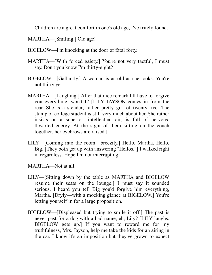Children are a great comfort in one's old age, I've tritely found.

MARTHA—[Smiling.] Old age!

- BIGELOW—I'm knocking at the door of fatal forty.
- MARTHA—[With forced gaiety.] You're not very tactful, I must say. Don't you know I'm thirty-eight?
- BIGELOW—[Gallantly.] A woman is as old as she looks. You're not thirty yet.
- MARTHA—[Laughing.] After that nice remark I'll have to forgive you everything, won't I? [LILY JAYSON comes in from the rear. She is a slender, rather pretty girl of twenty-five. The stamp of college student is still very much about her. She rather insists on a superior, intellectual air, is full of nervous, thwarted energy. At the sight of them sitting on the couch together, her eyebrows are raised.]
- LILY—[Coming into the room—breezily.] Hello, Martha. Hello, Big. [They both get up with answering "Hellos."] I walked right in regardless. Hope I'm not interrupting.

MARTHA—Not at all.

- LILY—[Sitting down by the table as MARTHA and BIGELOW resume their seats on the lounge.] I must say it sounded serious. I heard you tell Big you'd forgive him everything, Martha. [Dryly—with a mocking glance at BIGELOW.] You're letting yourself in for a large proposition.
- BIGELOW—[Displeased but trying to smile it off.] The past is never past for a dog with a bad name, eh, Lily? [LILY laughs. BIGELOW gets up.] If you want to reward me for my truthfulness, Mrs. Jayson, help me take the kids for an airing in the car. I know it's an imposition but they've grown to expect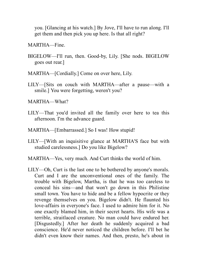you. [Glancing at his watch.] By Jove, I'll have to run along. I'll get them and then pick you up here. Is that all right?

MARTHA—Fine.

- BIGELOW—I'll run, then. Good-by, Lily. [She nods. BIGELOW goes out rear.]
- MARTHA—[Cordially.] Come on over here, Lily.
- LILY—[Sits on couch with MARTHA—after a pause—with a smile.] You were forgetting, weren't you?

MARTHA—What?

- LILY—That you'd invited all the family over here to tea this afternoon. I'm the advance guard.
- MARTHA—[Embarrassed.] So I was! How stupid!
- LILY—[With an inquisitive glance at MARTHA'S face but with studied carelessness.] Do you like Bigelow?
- MARTHA—Yes, very much. And Curt thinks the world of him.
- LILY—Oh, Curt is the last one to be bothered by anyone's morals. Curt and I are the unconventional ones of the family. The trouble with Bigelow, Martha, is that he was too careless to conceal his sins—and that won't go down in this Philistine small town. You have to hide and be a fellow hypocrite or they revenge themselves on you. Bigelow didn't. He flaunted his love-affairs in everyone's face. I used to admire him for it. No one exactly blamed him, in their secret hearts. His wife was a terrible, straitlaced creature. No man could have endured her. [Disgustedly.] After her death he suddenly acquired a bad conscience. He'd never noticed the children before. I'll bet he didn't even know their names. And then, presto, he's about in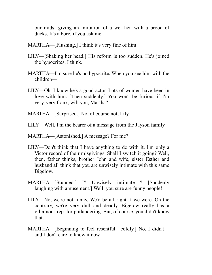our midst giving an imitation of a wet hen with a brood of ducks. It's a bore, if you ask me.

- MARTHA—[Flushing.] I think it's very fine of him.
- LILY—[Shaking her head.] His reform is too sudden. He's joined the hypocrites, I think.
- MARTHA—I'm sure he's no hypocrite. When you see him with the children—
- LILY—Oh, I know he's a good actor. Lots of women have been in love with him. [Then suddenly.] You won't be furious if I'm very, very frank, will you, Martha?
- MARTHA—[Surprised.] No, of course not, Lily.
- LILY—Well, I'm the bearer of a message from the Jayson family.
- MARTHA—[Astonished.] A message? For me?
- LILY—Don't think that I have anything to do with it. I'm only a Victor record of their misgivings. Shall I switch it going? Well, then, father thinks, brother John and wife, sister Esther and husband all think that you are unwisely intimate with this same Bigelow.
- MARTHA—[Stunned.] I? Unwisely intimate—? [Suddenly laughing with amusement.] Well, you sure are funny people!
- LILY—No, we're not funny. We'd be all right if we were. On the contrary, we're very dull and deadly. Bigelow really has a villainous rep. for philandering. But, of course, you didn't know that.
- MARTHA—[Beginning to feel resentful—coldly.] No, I didn't and I don't care to know it now.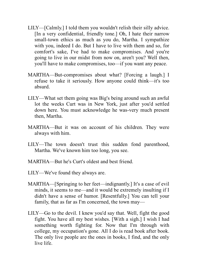- LILY—[Calmly.] I told them you wouldn't relish their silly advice. [In a very confidential, friendly tone.] Oh, I hate their narrow small-town ethics as much as you do, Martha. I sympathize with you, indeed I do. But I have to live with them and so, for comfort's sake, I've had to make compromises. And you're going to live in our midst from now on, aren't you? Well then, you'll have to make compromises, too—if you want any peace.
- MARTHA—But-compromises about what? [Forcing a laugh.] I refuse to take it seriously. How anyone could think—it's too absurd.
- LILY—What set them going was Big's being around such an awful lot the weeks Curt was in New York, just after you'd settled down here. You must acknowledge he was-very much present then, Martha.
- MARTHA—But it was on account of his children. They were always with him.
- LILY—The town doesn't trust this sudden fond parenthood, Martha. We've known him too long, you see.
- MARTHA—But he's Curt's oldest and best friend.
- LILY—We've found they always are.
- MARTHA—[Springing to her feet—indignantly.] It's a case of evil minds, it seems to me—and it would be extremely insulting if I didn't have a sense of humor. [Resentfully.] You can tell your family, that as far as I'm concerned, the town may—
- LILY—Go to the devil. I knew you'd say that. Well, fight the good fight. You have all my best wishes. [With a sigh.] I wish I had something worth fighting for. Now that I'm through with college, my occupation's gone. All I do is read book after book. The only live people are the ones in books, I find, and the only live life.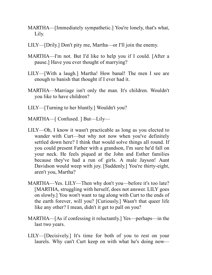- MARTHA—[Immediately sympathetic.] You're lonely, that's what, Lily.
- LILY—[Drily.] Don't pity me, Martha—or I'll join the enemy.
- MARTHA—I'm not. But I'd like to help you if I could. [After a pause.] Have you ever thought of marrying?
- LILY—[With a laugh.] Martha! How banal! The men I see are enough to banish that thought if I ever had it.
- MARTHA—Marriage isn't only the man. It's children. Wouldn't you like to have children?
- LILY—[Turning to her bluntly.] Wouldn't you?
- MARTHA—[ Confused. ] But—Lily—
- LILY—Oh, I know it wasn't practicable as long as you elected to wander with Curt—but why not now when you've definitely settled down here? I think that would solve things all round. If you could present Father with a grandson, I'm sure he'd fall on your neck. He feels piqued at the John and Esther families because they've had a run of girls. A male Jayson! Aunt Davidson would weep with joy. [Suddenly.] You're thirty-eight, aren't you, Martha?
- MARTHA—Yes. LILY—Then why don't you—before it's too late? [MARTHA, struggling with herself, does not answer. LILY goes on slowly.] You won't want to tag along with Curt to the ends of the earth forever, will you? [Curiously.] Wasn't that queer life like any other? I mean, didn't it get to pall on you?
- MARTHA—[As if confessing it reluctantly.] Yes—perhaps—in the last two years.
- LILY—[Decisively.] It's time for both of you to rest on your laurels. Why can't Curt keep on with what he's doing now—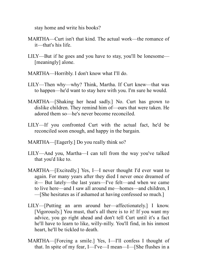stay home and write his books?

- MARTHA—Curt isn't that kind. The actual work—the romance of it—that's his life.
- LILY—But if he goes and you have to stay, you'll be lonesome— [meaningly] alone.
- MARTHA—Horribly. I don't know what I'll do.
- LILY—Then why—why? Think, Martha. If Curt knew—that was to happen—he'd want to stay here with you. I'm sure he would.
- MARTHA—[Shaking her head sadly.] No. Curt has grown to dislike children. They remind him of—ours that were taken. He adored them so—he's never become reconciled.
- LILY—If you confronted Curt with the actual fact, he'd be reconciled soon enough, and happy in the bargain.
- MARTHA—[Eagerly.] Do you really think so?
- LILY—And you, Martha—I can tell from the way you've talked that you'd like to.
- MARTHA—[Excitedly.] Yes, I—I never thought I'd ever want to again. For many years after they died I never once dreamed of it— But lately—the last years—I've felt—and when we came to live here—and I saw all around me—homes—and children, I —[She hesitates as if ashamed at having confessed so much.]
- LILY—[Putting an arm around her—affectionately.] I know. [Vigorously.] You must, that's all there is to it! If you want my advice, you go right ahead and don't tell Curt until it's a fact he'll have to learn to like, willy-nilly. You'll find, in his inmost heart, he'll be tickled to death.
- MARTHA—[Forcing a smile.] Yes, I—I'll confess I thought of that. In spite of my fear, I—I've—I mean—I—[She flushes in a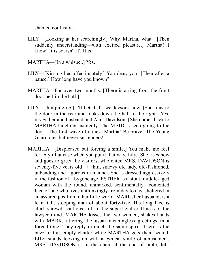shamed confusion.]

- LILY—[Looking at her searchingly.] Why, Martha, what—[Then suddenly understanding—with excited pleasure.] Martha! I know! It is so, isn't it? It is!
- MARTHA—[In a whisper.] Yes.
- LILY—[Kissing her affectionately.] You dear, you! [Then after a pause.] How long have you known?
- MARTHA—For over two months. [There is a ring from the front door bell in the hall.]
- LILY—[Jumping up.] I'll bet that's we Jaysons now. [She runs to the door in the rear and looks down the hall to the right.] Yes, it's Esther and husband and Aunt Davidson. [She comes back to MARTHA laughing excitedly. The MAID is seen going to the door.] The first wave of attack, Martha! Be brave! The Young Guard dies but never surrenders!
- MARTHA—[Displeased but forcing a smile.] You make me feel terribly ill at ease when you put it that way, Lily. [She rises now and goes to greet the visitors, who enter. MRS. DAVIDSON is seventy-five years old—a thin, sinewy old lady, old-fashioned, unbending and rigorous in manner. She is dressed aggressively in the fashion of a bygone age. ESTHER is a stout, middle-aged woman with the round, unmarked, sentimentally—contented face of one who lives unthinkingly from day to day, sheltered in an assured position in her little world. MARK, her husband, is a lean, tall, stooping man of about forty-five. His long face is alert, shrewd, cautious, full of the superficial craftiness of the lawyer mind. MARTHA kisses the two women, shakes hands with MARK, uttering the usual meaningless greetings in a forced tone. They reply in much the same spirit. There is the buzz of this empty chatter while MARTHA gets them seated. LILY stands looking on with a cynical smile of amusement. MRS. DAVIDSON is in the chair at the end of table, left,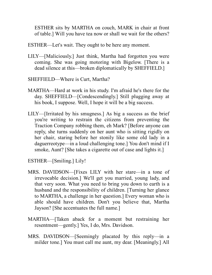ESTHER sits by MARTHA on couch, MARK in chair at front of table.] Will you have tea now or shall we wait for the others?

ESTHER—Let's wait. They ought to be here any moment.

- LILY—[Maliciously.] Just think, Martha had forgotten you were coming. She was going motoring with Bigelow. [There is a dead silence at this—broken diplomatically by SHEFFIELD.]
- SHEFFIELD—Where is Curt, Martha?
- MARTHA—Hard at work in his study. I'm afraid he's there for the day. SHEFFIELD—[Condescendingly.] Still plugging away at his book, I suppose. Well, I hope it will be a big success.
- LILY—[Irritated by his smugness.] As big a success as the brief you're writing to restrain the citizens from preventing the Traction Company robbing them, eh Mark? [Before anyone can reply, she turns suddenly on her aunt who is sitting rigidly on her chair, staring before her stonily like some old lady in a daguerreotype—in a loud challenging tone.] You don't mind if I smoke, Aunt? [She takes a cigarette out of case and lights it.]
- ESTHER—[Smiling.] Lily!
- MRS. DAVIDSON—[Fixes LILY with her stare—in a tone of irrevocable decision.] We'll get you married, young lady, and that very soon. What you need to bring you down to earth is a husband and the responsibility of children. [Turning her glance to MARTHA, a challenge in her question.] Every woman who is able should have children. Don't you believe that, Martha Jayson? [She accentuates the full name.]
- MARTHA—[Taken aback for a moment but restraining her resentment—gently.] Yes, I do, Mrs. Davidson.
- MRS. DAVIDSON—[Seemingly placated by this reply—in a milder tone.] You must call me aunt, my dear. [Meaningly.] All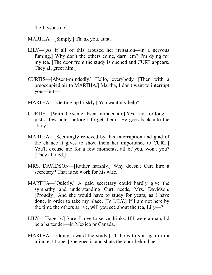the Jaysons do.

MARTHA—[Simply.] Thank you, aunt.

- LILY—[As if all of this aroused her irritation—in a nervous fuming.] Why don't the others come, darn 'em? I'm dying for my tea. [The door from the study is opened and CURT appears. They all greet him.]
- CURTIS—[Absent-mindedly.] Hello, everybody. [Then with a preoccupied air to MARTHA.] Martha, I don't want to interrupt you—but—
- MARTHA—[Getting up briskly.] You want my help?
- CURTIS—[With the same absent-minded air.] Yes—not for long just a few notes before I forget them. [He goes back into the study.]
- MARTHA—[Seemingly relieved by this interruption and glad of the chance it gives to show them her importance to CURT.] You'll excuse me for a few moments, all of you, won't you? [They all nod.]
- MRS. DAVIDSON—[Rather harshly.] Why doesn't Curt hire a secretary? That is no work for his wife.
- MARTHA—[Quietly.] A paid secretary could hardly give the sympathy and understanding Curt needs, Mrs. Davidson. [Proudly.] And she would have to study for years, as I have done, in order to take my place. [To LILY.] If I am not here by the time the others arrive, will you see about the tea, Lily—?
- LILY—[Eagerly.] Sure. I love to serve drinks. If I were a man, I'd be a bartender—in Mexico or Canada.
- MARTHA—[Going toward the study.] I'll be with you again in a minute, I hope. [She goes in and shuts the door behind her.]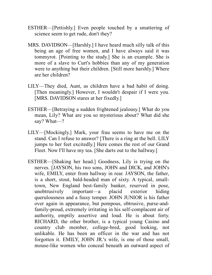- ESTHER—[Pettishly.] Even people touched by a smattering of science seem to get rude, don't they?
- MRS. DAVIDSON—[Harshly.] I have heard much silly talk of this being an age of free women, and I have always said it was tommyrot. [Pointing to the study.] She is an example. She is more of a slave to Curt's hobbies than any of my generation were to anything but their children. [Still more harshly.] Where are her children?
- LILY—They died, Aunt, as children have a bad habit of doing. [Then meaningly.] However, I wouldn't despair if I were you. [MRS. DAVIDSON stares at her fixedly.]
- ESTHER—[Betraying a sudden frightened jealousy.] What do you mean, Lily? What are you so mysterious about? What did she say? What—?
- LILY—[Mockingly.] Mark, your frau seems to have me on the stand. Can I refuse to answer? [There is a ring at the bell. LILY jumps to her feet excitedly.] Here comes the rest of our Grand Fleet. Now I'll have my tea. [She darts out to the hallway.]
- ESTHER—[Shaking her head.] Goodness, Lily is trying on the nerves. [JAYSON, his two sons, JOHN and DICK, and JOHN's wife, EMILY, enter from hallway in rear. JAYSON, the father, is a short, stout, bald-headed man of sixty. A typical, smalltown, New England best-family banker, reserved in pose, unobtrusively important—a placid exterior hiding querulousness and a fussy temper. JOHN JUNIOR is his father over again in appearance, but pompous, obtrusive, purse-andfamily-proud, extremely irritating in his self-complacent air of authority, emptily assertive and loud. He is about forty. RICHARD, the other brother, is a typical young Casino and country club member, college-bred, good looking, not unlikable. He has been an officer in the war and has not forgotten it. EMILY, JOHN JR.'s wife, is one of those small, mouse-like women who conceal beneath an outward aspect of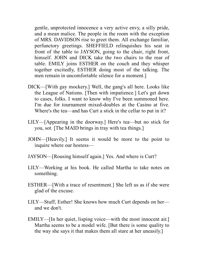gentle, unprotected innocence a very active envy, a silly pride, and a mean malice. The people in the room with the exception of MRS. DAVIDSON rise to greet them. All exchange familiar, perfunctory greetings. SHEFFIELD relinquishes his seat in front of the table to JAYSON, going to the chair, right front, himself. JOHN and DICK take the two chairs to the rear of table. EMILY joins ESTHER on the couch and they whisper together excitedly, ESTHER doing most of the talking. The men remain in uncomfortable silence for a moment.]

- DICK—[With gay mockery.] Well, the gang's all here. Looks like the League of Nations. [Then with impatience.] Let's get down to cases, folks. I want to know why I've been summoned here. I'm due for tournament mixed-doubles at the Casino at five. Where's the tea—and has Curt a stick in the cellar to put in it?
- LILY—[Appearing in the doorway.] Here's tea—but no stick for you, sot. [The MAID brings in tray with tea things.]
- JOHN—[Heavily.] It seems it would be more to the point to inquire where our hostess—
- JAYSON—[Rousing himself again.] Yes. And where is Curt?
- LILY—Working at his book. He called Martha to take notes on something.
- ESTHER—[With a trace of resentment.] She left us as if she were glad of the excuse.
- LILY—Stuff, Esther! She knows how much Curt depends on her and we don't.
- EMILY—[In her quiet, lisping voice—with the most innocent air.] Martha seems to be a model wife. [But there is some quality to the way she says it that makes them all stare at her uneasily.]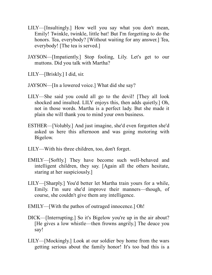- LILY—[Insultingly.] How well you say what you don't mean, Emily! Twinkle, twinkle, little bat! But I'm forgetting to do the honors. Tea, everybody? [Without waiting for any answer.] Tea, everybody! [The tea is served.]
- JAYSON—[Impatiently.] Stop fooling, Lily. Let's get to our muttons. Did you talk with Martha?
- LILY—[Briskly.] I did, sir.
- JAYSON—[In a lowered voice.] What did she say?
- LILY—She said you could all go to the devil! [They all look shocked and insulted. LILY enjoys this, then adds quietly.] Oh, not in those words. Martha is a perfect lady. But she made it plain she will thank you to mind your own business.
- ESTHER—[Volubly.] And just imagine, she'd even forgotten she'd asked us here this afternoon and was going motoring with Bigelow.
- LILY—With his three children, too, don't forget.
- EMILY—[Softly.] They have become such well-behaved and intelligent children, they say. [Again all the others hesitate, staring at her suspiciously.]
- LILY—[Sharply.] You'd better let Martha train yours for a while, Emily. I'm sure she'd improve their manners—though, of course, she couldn't give them any intelligence.
- EMILY—[With the pathos of outraged innocence.] Oh!
- DICK—[Interrupting.] So it's Bigelow you're up in the air about? [He gives a low whistle—then frowns angrily.] The deuce you say!
- LILY—[Mockingly.] Look at our soldier boy home from the wars getting serious about the family honor! It's too bad this is a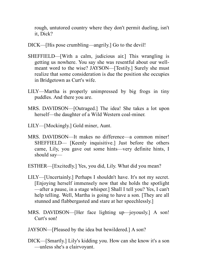rough, untutored country where they don't permit dueling, isn't it, Dick?

- DICK—[His pose crumbling—angrily.] Go to the devil!
- SHEFFIELD—[With a calm, judicious air.] This wrangling is getting us nowhere. You say she was resentful about our wellmeant word to the wise? JAYSON—[Testily.] Surely she must realize that some consideration is due the position she occupies in Bridgetown as Curt's wife.
- LILY—Martha is properly unimpressed by big frogs in tiny puddles. And there you are.
- MRS. DAVIDSON—[Outraged.] The idea! She takes a lot upon herself—the daughter of a Wild Western coal-miner.
- LILY—[Mockingly.] Gold miner, Aunt.
- MRS. DAVIDSON—It makes no difference—a common miner! SHEFFIELD— [Keenly inquisitive.] Just before the others came, Lily, you gave out some hints—very definite hints, I should say—
- ESTHER—[Excitedly.] Yes, you did, Lily. What did you mean?
- LILY—[Uncertainly.] Perhaps I shouldn't have. It's not my secret. [Enjoying herself immensely now that she holds the spotlight —after a pause, in a stage whisper.] Shall I tell you? Yes, I can't help telling. Well, Martha is going to have a son. [They are all stunned and flabbergasted and stare at her speechlessly.]
- MRS. DAVIDSON—[Her face lighting up—joyously.] A son! Curt's son!
- JAYSON—[Pleased by the idea but bewildered.] A son?
- DICK—[Smartly.] Lily's kidding you. How can she know it's a son —unless she's a clairvoyant.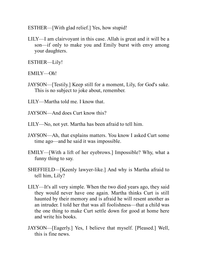ESTHER—[With glad relief.] Yes, how stupid!

LILY—I am clairvoyant in this case. Allah is great and it will be a son—if only to make you and Emily burst with envy among your daughters.

ESTHER—Lily!

EMILY—Oh!

JAYSON—[Testily.] Keep still for a moment, Lily, for God's sake. This is no subject to joke about, remember.

LILY—Martha told me. I know that.

JAYSON—And does Curt know this?

- LILY—No, not yet. Martha has been afraid to tell him.
- JAYSON—Ah, that explains matters. You know I asked Curt some time ago—and he said it was impossible.
- EMILY—[With a lift of her eyebrows.] Impossible? Why, what a funny thing to say.
- SHEFFIELD—[Keenly lawyer-like.] And why is Martha afraid to tell him, Lily?
- LILY—It's all very simple. When the two died years ago, they said they would never have one again. Martha thinks Curt is still haunted by their memory and is afraid he will resent another as an intruder. I told her that was all foolishness—that a child was the one thing to make Curt settle down for good at home here and write his books.
- JAYSON—[Eagerly.] Yes, I believe that myself. [Pleased.] Well, this is fine news.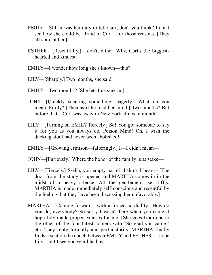- EMILY—Still it was her duty to tell Curt, don't you think? I don't see how she could be afraid of Curt—for those reasons. [They all stare at her.]
- ESTHER—[Resentfully.] I don't, either. Why, Curt's the biggesthearted and kindest—
- EMILY—I wonder how long she's known—this?
- LILY—[Sharply.] Two months, she said.
- EMILY—Two months? [She lets this sink in.]
- JOHN—[Quickly scenting something—eagerly.] What do you mean, Emily? [Then as if he read her mind.] Two months? But before that—Curt was away in New York almost a month!
- LILY—[Turning on EMILY fiercely.] So! You got someone to say it for you as you always do, Poison Mind! Oh, I wish the ducking stool had never been abolished!
- EMILY—[Growing crimson—falteringly.] I—I didn't mean—
- JOHN—[Furiously.] Where the honor of the family is at stake—
- LILY—[Fiercely.] Ssshh, you empty barrel! I think I hear— [The door from the study is opened and MARTHA comes in in the midst of a heavy silence. All the gentlemen rise stiffly. MARTHA is made immediately self-conscious and resentful by the feeling that they have been discussing her unfavorably.]
- MARTHA—[Coming forward—with a forced cordiality.] How do you do, everybody? So sorry I wasn't here when you came. I hope Lily made proper excuses for me. [She goes from one to the other of the four latest comers with "So glad you came," etc. They reply formally and perfunctorily. MARTHA finally finds a seat on the couch between EMILY and ESTHER.] I hope Lily—but I see you've all had tea.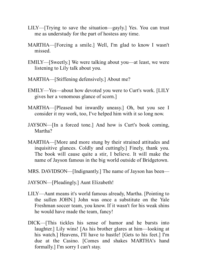- LILY—[Trying to save the situation—gayly.] Yes. You can trust me as understudy for the part of hostess any time.
- MARTHA—[Forcing a smile.] Well, I'm glad to know I wasn't missed.
- EMILY—[Sweetly.] We were talking about you—at least, we were listening to Lily talk about you.
- MARTHA—[Stiffening defensively.] About me?
- EMILY—Yes—about how devoted you were to Curt's work. [LILY gives her a venomous glance of scorn.]
- MARTHA—[Pleased but inwardly uneasy.] Oh, but you see I consider it my work, too, I've helped him with it so long now.
- JAYSON—[In a forced tone.] And how is Curt's book coming, Martha?
- MARTHA—[More and more stung by their strained attitudes and inquisitive glances. Coldly and cuttingly.] Finely, thank you. The book will cause quite a stir, I believe. It will make the name of Jayson famous in the big world outside of Bridgetown.
- MRS. DAVIDSON—[Indignantly.] The name of Jayson has been—
- JAYSON—[Pleadingly.] Aunt Elizabeth!
- LILY—Aunt means it's world famous already, Martha. [Pointing to the sullen JOHN.] John was once a substitute on the Yale Freshman soccer team, you know. If it wasn't for his weak shins he would have made the team, fancy!
- DICK—[This tickles his sense of humor and he bursts into laughter.] Lily wins! [As his brother glares at him—looking at his watch.] Heavens, I'll have to hustle! [Gets to his feet.] I'm due at the Casino. [Comes and shakes MARTHA's hand formally.] I'm sorry I can't stay.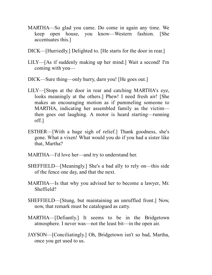- MARTHA—So glad you came. Do come in again any time. We keep open house, you know—Western fashion. [She accentuates this.]
- DICK—[Hurriedly.] Delighted to. [He starts for the door in rear.]
- LILY—[As if suddenly making up her mind.] Wait a second! I'm coming with you—
- DICK—Sure thing—only hurry, darn you! [He goes out.]
- LILY—[Stops at the door in rear and catching MARTHA's eye, looks meaningly at the others.] Phew! I need fresh air! [She makes an encouraging motion as if pummeling someone to MARTHA, indicating her assembled family as the victim then goes out laughing. A motor is heard starting—running off.]
- ESTHER—[With a huge sigh of relief.] Thank goodness, she's gone. What a vixen! What would you do if you had a sister like that, Martha?
- MARTHA—I'd love her—and try to understand her.
- SHEFFIELD—[Meaningly.] She's a bad ally to rely on—this side of the fence one day, and that the next.
- MARTHA—Is that why you advised her to become a lawyer, Mr. Sheffield?
- SHEFFIELD—[Stung, but maintaining an unruffled front.] Now, now, that remark must be catalogued as catty.
- MARTHA—[Defiantly.] It seems to be in the Bridgetown atmosphere. I never was—not the least bit—in the open air.
- JAYSON—[Conciliatingly.] Oh, Bridgetown isn't so bad, Martha, once you get used to us.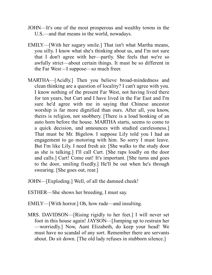- JOHN—It's one of the most prosperous and wealthy towns in the U.S.—and that means in the world, nowadays.
- EMILY—[With her sugary smile.] That isn't what Martha means, you silly. I know what she's thinking about us, and I'm not sure that I don't agree with her—partly. She feels that we're so awfully strict—about certain things. It must be so different in the Far West—I suppose—so much freer.
- MARTHA—[Acidly.] Then you believe broad-mindedness and clean thinking are a question of locality? I can't agree with you. I know nothing of the present Far West, not having lived there for ten years, but Curt and I have lived in the Far East and I'm sure he'd agree with me in saying that Chinese ancestor worship is far more dignified than ours. After all, you know, theirs is religion, not snobbery. [There is a loud honking of an auto horn before the house. MARTHA starts, seems to come to a quick decision, and announces with studied carelessness.] That must be Mr. Bigelow. I suppose Lily told you I had an engagement to go motoring with him. So sorry I must leave. But I'm like Lily. I need fresh air. [She walks to the study door as she is talking.] I'll call Curt. [She raps loudly on the door and calls.] Curt! Come out! It's important. [She turns and goes to the door, smiling fixedly.] He'll be out when he's through swearing. [She goes out, rear.]
- JOHN—[Exploding.] Well, of all the damned cheek!
- ESTHER—She shows her breeding, I must say.
- EMILY—[With horror.] Oh, how rude—and insulting.
- MRS. DAVIDSON—[Rising rigidly to her feet.] I will never set foot in this house again! JAYSON—[Jumping up to restrain her —worriedly.] Now, Aunt Elizabeth, do keep your head! We must have no scandal of any sort. Remember there are servants about. Do sit down. [The old lady refuses in stubborn silence.]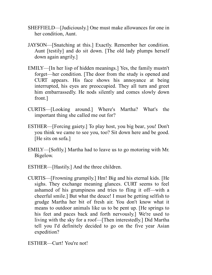- SHEFFIELD—[Judiciously.] One must make allowances for one in her condition, Aunt.
- JAYSON—[Snatching at this.] Exactly. Remember her condition. Aunt [testily] and do sit down. [The old lady plumps herself down again angrily.]
- EMILY—[In her lisp of hidden meanings.] Yes, the family mustn't forget—her condition. [The door from the study is opened and CURT appears. His face shows his annoyance at being interrupted, his eyes are preoccupied. They all turn and greet him embarrassedly. He nods silently and comes slowly down front.]
- CURTIS—[Looking around.] Where's Martha? What's the important thing she called me out for?
- ESTHER—[Forcing gaiety.] To play host, you big bear, you! Don't you think we came to see you, too? Sit down here and be good. [He sits on sofa.]
- EMILY—[Softly.] Martha had to leave us to go motoring with Mr. Bigelow.
- ESTHER—[Hastily.] And the three children.
- CURTIS—[Frowning grumpily.] Hm! Big and his eternal kids. [He sighs. They exchange meaning glances. CURT seems to feel ashamed of his grumpiness and tries to fling it off—with a cheerful smile.] But what the deuce! I must be getting selfish to grudge Martha her bit of fresh air. You don't know what it means to outdoor animals like us to be pent up. [He springs to his feet and paces back and forth nervously.] We're used to living with the sky for a roof—[Then interestedly.] Did Martha tell you I'd definitely decided to go on the five year Asian expedition?

ESTHER—Curt! You're not!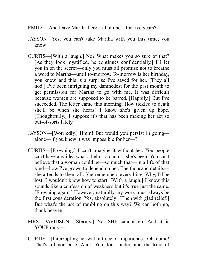- EMILY—And leave Martha here—all alone—for five years?
- JAYSON—Yes, you can't take Martha with you this time, you know.
- CURTIS—[With a laugh.] No? What makes you so sure of that? [As they look mystified, he continues confidentially.] I'll let you in on the secret—only you must all promise not to breathe a word to Martha—until to-morrow. To-morrow is her birthday, you know, and this is a surprise I've saved for her. [They all nod.] I've been intriguing my damnedest for the past month to get permission for Martha to go with me. It was difficult because women are supposed to be barred. [Happily.] But I've succeeded. The letter came this morning. How tickled to death she'll be when she hears! I know she's given up hope. [Thoughtfully.] I suppose it's that has been making her act so out-of-sorts lately.
- JAYSON—[Worriedly.] Hmm! But would you persist in going alone—if you knew it was impossible for her—?
- CURTIS—[Frowning.] I can't imagine it without her. You people can't have any idea what a help—a chum—she's been. You can't believe that a woman could be—so much that—in a life of that kind—how I've grown to depend on her. The thousand details she attends to them all. She remembers everything. Why, I'd be lost. I wouldn't know how to start. [With a laugh.] I know this sounds like a confession of weakness but it's true just the same. [Frowning again.] However, naturally my work must always be the first consideration. Yes, absolutely! [Then with glad relief.] But what's the use of rambling on this way? We can both go, thank heaven!
- MRS. DAVIDSON—[Sternly.] No. SHE cannot go. And it is YOUR duty—
- CURTIS—[Interrupting her with a trace of impatience.] Oh, come! That's all nonsense, Aunt. You don't understand the kind of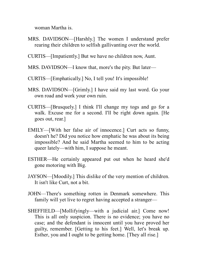woman Martha is.

- MRS. DAVIDSON—[Harshly.] The women I understand prefer rearing their children to selfish gallivanting over the world.
- CURTIS—[Impatiently.] But we have no children now, Aunt.
- MRS. DAVIDSON—I know that, more's the pity. But later—
- CURTIS—[Emphatically.] No, I tell you! It's impossible!
- MRS. DAVIDSON—[Grimly.] I have said my last word. Go your own road and work your own ruin.
- CURTIS—[Brusquely.] I think I'll change my togs and go for a walk. Excuse me for a second. I'll be right down again. [He goes out, rear.]
- EMILY—[With her false air of innocence.] Curt acts so funny, doesn't he? Did you notice how emphatic he was about its being impossible? And he said Martha seemed to him to be acting queer lately—with him, I suppose he meant.
- ESTHER—He certainly appeared put out when he heard she'd gone motoring with Big.
- JAYSON—[Moodily.] This dislike of the very mention of children. It isn't like Curt, not a bit.
- JOHN—There's something rotten in Denmark somewhere. This family will yet live to regret having accepted a stranger—
- SHEFFIELD—[Mollifyingly—with a judicial air.] Come now! This is all only suspicion. There is no evidence; you have no case; and the defendant is innocent until you have proved her guilty, remember. [Getting to his feet.] Well, let's break up. Esther, you and I ought to be getting home. [They all rise.]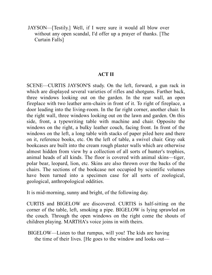JAYSON—[Testily.] Well, if I were sure it would all blow over without any open scandal, I'd offer up a prayer of thanks. [The Curtain Falls]

#### **ACT II**

SCENE—CURTIS JAYSON'S study. On the left, forward, a gun rack in which are displayed several varieties of rifles and shotguns. Farther back, three windows looking out on the garden. In the rear wall, an open fireplace with two leather arm-chairs in front of it. To right of fireplace, a door leading into the living-room. In the far right corner, another chair. In the right wall, three windows looking out on the lawn and garden. On this side, front, a typewriting table with machine and chair. Opposite the windows on the right, a bulky leather couch, facing front. In front of the windows on the left, a long table with stacks of paper piled here and there on it, reference books, etc. On the left of table, a swivel chair. Gray oak bookcases are built into the cream rough plaster walls which are otherwise almost hidden from view by a collection of all sorts of hunter's trophies, animal heads of all kinds. The floor is covered with animal skins—tiger, polar bear, leopard, lion, etc. Skins are also thrown over the backs of the chairs. The sections of the bookcase not occupied by scientific volumes have been turned into a specimen case for all sorts of zoological, geological, anthropological oddities.

It is mid-morning, sunny and bright, of the following day.

CURTIS and BIGELOW are discovered. CURTIS is half-sitting on the corner of the table, left, smoking a pipe. BIGELOW is lying sprawled on the couch. Through the open windows on the right come the shouts of children playing. MARTHA's voice joins in with theirs.

BIGELOW—Listen to that rumpus, will you! The kids are having the time of their lives. [He goes to the window and looks out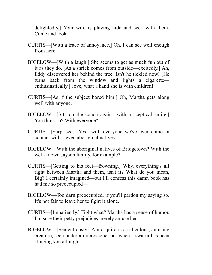delightedly.] Your wife is playing hide and seek with them. Come and look.

- CURTIS—[With a trace of annoyance.] Oh, I can see well enough from here.
- BIGELOW—[With a laugh.] She seems to get as much fun out of it as they do. [As a shriek comes from outside—excitedly.] Ah, Eddy discovered her behind the tree. Isn't he tickled now! [He turns back from the window and lights a cigarette enthusiastically.] Jove, what a hand she is with children!
- CURTIS—[As if the subject bored him.] Oh, Martha gets along well with anyone.
- BIGELOW—[Sits on the couch again—with a sceptical smile.] You think so? With everyone?
- CURTIS—[Surprised.] Yes—with everyone we've ever come in contact with—even aboriginal natives.
- BIGELOW—With the aboriginal natives of Bridgetown? With the well-known Jayson family, for example?
- CURTIS—[Getting to his feet—frowning.] Why, everything's all right between Martha and them, isn't it? What do you mean, Big? I certainly imagined—but I'll confess this damn book has had me so preoccupied—
- BIGELOW—Too darn preoccupied, if you'll pardon my saying so. It's not fair to leave her to fight it alone.
- CURTIS—[Impatiently.] Fight what? Martha has a sense of humor. I'm sure their petty prejudices merely amuse her.
- BIGELOW—[Sententiously.] A mosquito is a ridiculous, amusing creature, seen under a microscope; but when a swarm has been stinging you all night—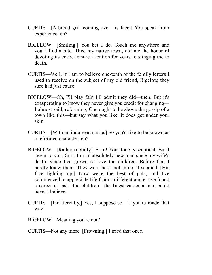- CURTIS—[A broad grin coming over his face.] You speak from experience, eh?
- BIGELOW—[Smiling.] You bet I do. Touch me anywhere and you'll find a bite. This, my native town, did me the honor of devoting its entire leisure attention for years to stinging me to death.
- CURTIS—Well, if I am to believe one-tenth of the family letters I used to receive on the subject of my old friend, Bigelow, they sure had just cause.
- BIGELOW—Oh, I'll play fair. I'll admit they did—then. But it's exasperating to know they never give you credit for changing— I almost said, reforming, One ought to be above the gossip of a town like this—but say what you like, it does get under your skin.
- CURTIS—[With an indulgent smile.] So you'd like to be known as a reformed character, eh?
- BIGELOW—[Rather ruefully.] Et tu! Your tone is sceptical. But I swear to you, Curt, I'm an absolutely new man since my wife's death, since I've grown to love the children. Before that I hardly knew them. They were hers, not mine, it seemed. [His face lighting up.] Now we're the best of pals, and I've commenced to appreciate life from a different angle. I've found a career at last—the children—the finest career a man could have, I believe.
- CURTIS—[Indifferently.] Yes, I suppose so—if you're made that way.
- BIGELOW—Meaning you're not?
- CURTIS—Not any more. [Frowning.] I tried that once.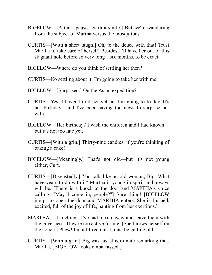- BIGELOW—[After a pause—with a smile.] But we're wandering from the subject of Martha versus the mosquitoes.
- CURTIS—[With a short laugh.] Oh, to the deuce with that! Trust Martha to take care of herself. Besides, I'll have her out of this stagnant hole before so very long—six months, to be exact.
- BIGELOW—Where do you think of settling her then?
- CURTIS—No settling about it. I'm going to take her with me.
- BIGELOW—[Surprised.] On the Asian expedition?
- CURTIS—Yes. I haven't told her yet but I'm going to to-day. It's her birthday—and I've been saving the news to surprise her with.
- BIGELOW—Her birthday? I wish the children and I had known but it's not too late yet.
- CURTIS—[With a grin.] Thirty-nine candles, if you're thinking of baking a cake!
- BIGELOW—[Meaningly.] That's not old—but it's not young either, Curt.
- CURTIS—[Disgustedly.] You talk like an old woman, Big. What have years to do with it? Martha is young in spirit and always will be. [There is a knock at the door and MARTHA's voice calling: "May I come in, people?"] Sure thing! [BIGELOW jumps to open the door and MARTHA enters. She is flushed, excited, full of the joy of life, panting from her exertions.]
- MARTHA—[Laughing.] I've had to run away and leave them with the governess. They're too active for me. [She throws herself on the couch.] Phew! I'm all tired out. I must be getting old.
- CURTIS—[With a grin.] Big was just this minute remarking that, Martha. [BIGELOW looks embarrassed.]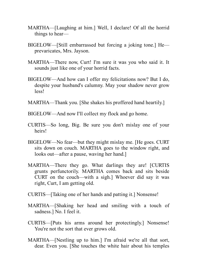- MARTHA—[Laughing at him.] Well, I declare! Of all the horrid things to hear—
- BIGELOW—[Still embarrassed but forcing a joking tone.] He prevaricates, Mrs. Jayson.
- MARTHA—There now, Curt! I'm sure it was you who said it. It sounds just like one of your horrid facts.
- BIGELOW—And how can I offer my felicitations now? But I do, despite your husband's calumny. May your shadow never grow less!
- MARTHA—Thank you. [She shakes his proffered hand heartily.]
- BIGELOW—And now I'll collect my flock and go home.
- CURTIS—So long, Big. Be sure you don't mislay one of your heirs!
- BIGELOW—No fear—but they might mislay me. [He goes. CURT sits down on couch. MARTHA goes to the window right, and looks out—after a pause, waving her hand.]
- MARTHA—There they go. What darlings they are! [CURTIS grunts perfunctorily. MARTHA comes back and sits beside CURT on the couch—with a sigh.] Whoever did say it was right, Curt, I am getting old.
- CURTIS—[Taking one of her hands and patting it.] Nonsense!
- MARTHA—[Shaking her head and smiling with a touch of sadness.] No. I feel it.
- CURTIS—[Puts his arms around her protectingly.] Nonsense! You're not the sort that ever grows old.
- MARTHA—[Nestling up to him.] I'm afraid we're all that sort, dear. Even you. [She touches the white hair about his temples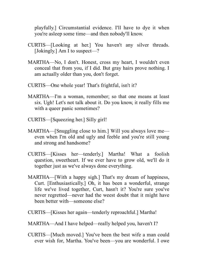playfully.] Circumstantial evidence. I'll have to dye it when you're asleep some time—and then nobody'll know.

- CURTIS—[Looking at her.] You haven't any silver threads. [Jokingly.] Am I to suspect—?
- MARTHA—No, I don't. Honest, cross my heart, I wouldn't even conceal that from you, if I did. But gray hairs prove nothing. I am actually older than you, don't forget.
- CURTIS—One whole year! That's frightful, isn't it?
- MARTHA—I'm a woman, remember; so that one means at least six. Ugh! Let's not talk about it. Do you know, it really fills me with a queer panic sometimes?
- CURTIS—[Squeezing her.] Silly girl!
- MARTHA—[Snuggling close to him.] Will you always love me even when I'm old and ugly and feeble and you're still young and strong and handsome?
- CURTIS—[Kisses her—tenderly.] Martha! What a foolish question, sweetheart. If we ever have to grow old, we'll do it together just as we've always done everything.
- MARTHA—[With a happy sigh.] That's my dream of happiness, Curt. [Enthusiastically.] Oh, it has been a wonderful, strange life we've lived together, Curt, hasn't it? You're sure you've never regretted—never had the weest doubt that it might have been better with—someone else?
- CURTIS—[Kisses her again—tenderly reproachful.] Martha!
- MARTHA—And I have helped—really helped you, haven't I?
- CURTIS—[Much moved.] You've been the best wife a man could ever wish for, Martha. You've been—you are wonderful. I owe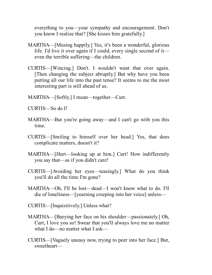everything to you—your sympathy and encouragement. Don't you know I realize that? [She kisses him gratefully.]

- MARTHA—[Musing happily.] Yes, it's been a wonderful, glorious life. I'd live it over again if I could, every single second of it even the terrible suffering—the children.
- CURTIS—[Wincing.] Don't. I wouldn't want that over again. [Then changing the subject abruptly.] But why have you been putting all our life into the past tense? It seems to me the most interesting part is still ahead of us.
- MARTHA—[Softly.] I mean—together—Curt.

CURTIS—So do I!

- MARTHA—But you're going away—and I can't go with you this time.
- CURTIS—[Smiling to himself over her head.] Yes, that does complicate matters, doesn't it?
- MARTHA—[Hurt—looking up at him.] Curt! How indifferently you say that—as if you didn't care!
- CURTIS—[Avoiding her eyes—teasingly.] What do you think you'll do all the time I'm gone?
- MARTHA—Oh, I'll be lost—dead—I won't know what to do. I'll die of loneliness—[yearning creeping into her voice] unless—
- CURTIS—[Inquisitively.] Unless what?
- MARTHA—[Burying her face on his shoulder—passionately.] Oh, Curt, I love you so! Swear that you'll always love me no matter what I do—no matter what I ask—
- CURTIS—[Vaguely uneasy now, trying to peer into her face.] But, sweetheart—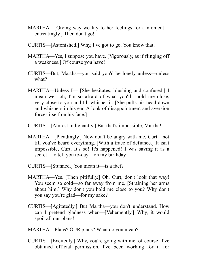- MARTHA—[Giving way weakly to her feelings for a moment entreatingly.] Then don't go!
- CURTIS—[Astonished.] Why, I've got to go. You know that.
- MARTHA—Yes, I suppose you have. [Vigorously, as if flinging off a weakness.] Of course you have!
- CURTIS—But, Martha—you said you'd be lonely unless—unless what?
- MARTHA—Unless I— [She hesitates, blushing and confused.] I mean we—oh, I'm so afraid of what you'll—hold me close, very close to you and I'll whisper it. [She pulls his head down and whispers in his ear. A look of disappointment and aversion forces itself on his face.]
- CURTIS—[Almost indignantly.] But that's impossible, Martha!
- MARTHA—[Pleadingly.] Now don't be angry with me, Curt—not till you've heard everything. [With a trace of defiance.] It isn't impossible, Curt. It's so! It's happened! I was saving it as a secret—to tell you to-day—on my birthday.
- CURTIS—[Stunned.] You mean it—is a fact?
- MARTHA—Yes. [Then pitifully.] Oh, Curt, don't look that way! You seem so cold—so far away from me. [Straining her arms about him.] Why don't you hold me close to you? Why don't you say you're glad—for my sake?
- CURTIS—[Agitatedly.] But Martha—you don't understand. How can I pretend gladness when—[Vehemently.] Why, it would spoil all our plans!
- MARTHA—Plans? OUR plans? What do you mean?
- CURTIS—[Excitedly.] Why, you're going with me, of course! I've obtained official permission. I've been working for it for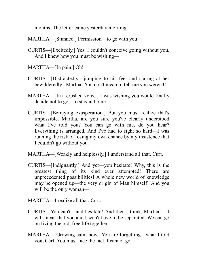months. The letter came yesterday morning.

MARTHA—[Stunned.] Permission—to go with you—

- CURTIS—[Excitedly.] Yes. I couldn't conceive going without you. And I knew how you must be wishing—
- MARTHA—[In pain.] Oh!
- CURTIS—[Distractedly—jumping to his feet and staring at her bewilderedly.] Martha! You don't mean to tell me you weren't!
- MARTHA—[In a crushed voice.] I was wishing you would finally decide not to go—to stay at home.
- CURTIS—[Betraying exasperation.] But you must realize that's impossible. Martha, are you sure you've clearly understood what I've told you? You can go with me, do you hear? Everything is arranged. And I've had to fight so hard—I was running the risk of losing my own chance by my insistence that I couldn't go without you.

MARTHA—[Weakly and helplessly.] I understand all that, Curt.

CURTIS—[Indignantly.] And yet—you hesitate! Why, this is the greatest thing of its kind ever attempted! There are unprecedented possibilities! A whole new world of knowledge may be opened up—the very origin of Man himself! And you will be the only woman—

MARTHA—I realize all that, Curt.

- CURTIS—You can't—and hesitate! And then—think, Martha!—it will mean that you and I won't have to be separated. We can go on living the old, free life together.
- MARTHA—[Growing calm now.] You are forgetting—what I told you, Curt. You must face the fact. I cannot go.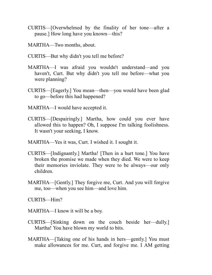- CURTIS—[Overwhelmed by the finality of her tone—after a pause.] How long have you known—this?
- MARTHA—Two months, about.
- CURTIS—But why didn't you tell me before?
- MARTHA—I was afraid you wouldn't understand—and you haven't, Curt. But why didn't you tell me before—what you were planning?
- CURTIS—[Eagerly.] You mean—then—you would have been glad to go—before this had happened?
- MARTHA—I would have accepted it.
- CURTIS—[Despairingly.] Martha, how could you ever have allowed this to happen? Oh, I suppose I'm talking foolishness. It wasn't your seeking, I know.
- MARTHA—Yes it was, Curt. I wished it. I sought it.
- CURTIS—[Indignantly.] Martha! [Then in a hurt tone.] You have broken the promise we made when they died. We were to keep their memories inviolate. They were to be always—our only children.
- MARTHA—[Gently.] They forgive me, Curt. And you will forgive me, too—when you see him—and love him.
- CURTIS—Him?
- MARTHA—I know it will be a boy.
- CURTIS—[Sinking down on the couch beside her—dully.] Martha! You have blown my world to bits.
- MARTHA—[Taking one of his hands in hers—gently.] You must make allowances for me. Curt, and forgive me. I AM getting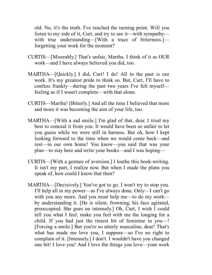old. No, it's the truth. I've reached the turning point. Will you listen to my side of it, Curt, and try to see it—with sympathy with true understanding—[With a trace of bitterness.] forgetting your work for the moment?

- CURTIS—[Miserably.] That's unfair, Martha. I think of it as OUR work—and I have always believed you did, too.
- MARTHA—[Quickly.] I did, Curt! I do! All in the past is our work. It's my greatest pride to think so. But, Curt, I'll have to confess frankly—during the past two years I've felt myself feeling as if I wasn't complete—with that alone.
- CURTIS—Martha! [Bitterly.] And all the time I believed that more and more it was becoming the aim of your life, too.
- MARTHA—[With a sad smile.] I'm glad of that, dear. I tried my best to conceal it from you. It would have been so unfair to let you guess while we were still in harness. But oh, how I kept looking forward to the time when we would come back—and rest—in our own home! You know—you said that was your plan—to stay here and write your books—and I was hoping—
- CURTIS—[With a gesture of aversion.] I loathe this book-writing. It isn't my part, I realize now. But when I made the plans you speak of, how could I know that then?
- MARTHA—[Decisively.] You've got to go. I won't try to stop you. I'll help all in my power—as I've always done. Only—I can't go with you any more. And you must help me—to do my work by understanding it. [He is silent, frowning, his face agitated, preoccupied. She goes on intensely.] Oh, Curt, I wish I could tell you what I feel, make you feel with me the longing for a child. If you had just the tiniest bit of feminine in you—! [Forcing a smile.] But you're so utterly masculine, dear! That's what has made me love you, I suppose—so I've no right to complain of it. [Intensely.] I don't. I wouldn't have you changed one bit! I love you! And I love the things you love—your work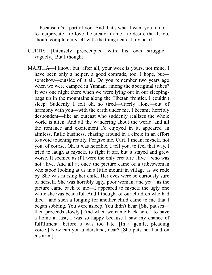—because it's a part of you. And that's what I want you to do to reciprocate—to love the creator in me—to desire that I, too, should complete myself with the thing nearest my heart!

- CURTIS—[Intensely preoccupied with his own struggle vaguely.] But I thought—
- MARTHA—I know; but, after all, your work is yours, not mine. I have been only a helper, a good comrade, too, I hope, but somehow—outside of it all. Do you remember two years ago when we were camped in Yunnan, among the aboriginal tribes? It was one night there when we were lying out in our sleepingbags up in the mountains along the Tibetan frontier. I couldn't sleep. Suddenly I felt oh, so tired—utterly alone—out of harmony with you—with the earth under me. I became horribly despondent—like an outcast who suddenly realizes the whole world is alien. And all the wandering about the world, and all the romance and excitement I'd enjoyed in it, appeared an aimless, futile business, chasing around in a circle in an effort to avoid touching reality. Forgive me, Curt. I meant myself, not you, of course. Oh, it was horrible, I tell you, to feel that way. I tried to laugh at myself, to fight it off, but it stayed and grew worse. It seemed as if I were the only creature alive—who was not alive. And all at once the picture came of a tribeswoman who stood looking at us in a little mountain village as we rode by. She was nursing her child. Her eyes were so curiously sure of herself. She was horribly ugly, poor woman, and yet—as the picture came back to me—I appeared to myself the ugly one while she was beautiful. And I thought of our children who had died—and such a longing for another child came to me that I began sobbing. You were asleep. You didn't hear. [She pauses then proceeds slowly.] And when we came back here—to have a home at last, I was so happy because I saw my chance of fulfillment—before it was too late. [In a gentle, pleading voice.] Now can you understand, dear? [She puts her hand on his arm.]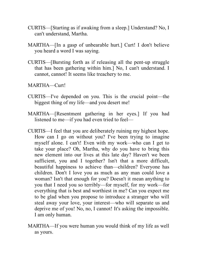- CURTIS—[Starting as if awaking from a sleep.] Understand? No, I can't understand, Martha.
- MARTHA—[In a gasp of unbearable hurt.] Curt! I don't believe you heard a word I was saying.
- CURTIS—[Bursting forth as if releasing all the pent-up struggle that has been gathering within him.] No, I can't understand. I cannot, cannot! It seems like treachery to me.
- MARTHA—Curt!
- CURTIS—I've depended on you. This is the crucial point—the biggest thing of my life—and you desert me!
- MARTHA—[Resentment gathering in her eyes.] If you had listened to me—if you had even tried to feel—
- CURTIS—I feel that you are deliberately ruining my highest hope. How can I go on without you? I've been trying to imagine myself alone. I can't! Even with my work—who can I get to take your place? Oh, Martha, why do you have to bring this new element into our lives at this late day? Haven't we been sufficient, you and I together? Isn't that a more difficult, beautiful happiness to achieve than—children? Everyone has children. Don't I love you as much as any man could love a woman? Isn't that enough for you? Doesn't it mean anything to you that I need you so terribly—for myself, for my work—for everything that is best and worthiest in me? Can you expect me to be glad when you propose to introduce a stranger who will steal away your love, your interest—who will separate us and deprive me of you! No, no, I cannot! It's asking the impossible. I am only human.
- MARTHA—If you were human you would think of my life as well as yours.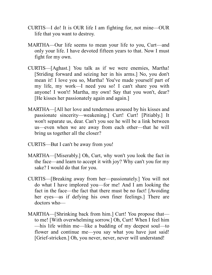- CURTIS—I do! It is OUR life I am fighting for, not mine—OUR life that you want to destroy.
- MARTHA—Our life seems to mean your life to you, Curt—and only your life. I have devoted fifteen years to that. Now I must fight for my own.
- CURTIS—[Aghast.] You talk as if we were enemies, Martha! [Striding forward and seizing her in his arms.] No, you don't mean it! I love you so, Martha! You've made yourself part of my life, my work—I need you so! I can't share you with anyone! I won't! Martha, my own! Say that you won't, dear? [He kisses her passionately again and again.]
- MARTHA—[All her love and tenderness aroused by his kisses and passionate sincerity—weakening.] Curt! Curt! [Pitiably.] It won't separate us, dear. Can't you see he will be a link between us—even when we are away from each other—that he will bring us together all the closer?
- CURTIS—But I can't be away from you!
- MARTHA—[Miserably.] Oh, Curt, why won't you look the fact in the face—and learn to accept it with joy? Why can't you for my sake? I would do that for you.
- CURTIS—[Breaking away from her—passionately.] You will not do what I have implored you—for me! And I am looking the fact in the face—the fact that there must be no fact! [Avoiding her eyes—as if defying his own finer feelings.] There are doctors who—
- MARTHA—[Shrinking back from him.] Curt! You propose that to me! [With overwhelming sorrow.] Oh, Curt! When I feel him —his life within me—like a budding of my deepest soul—to flower and continue me—you say what you have just said! [Grief-stricken.] Oh, you never, never, never will understand!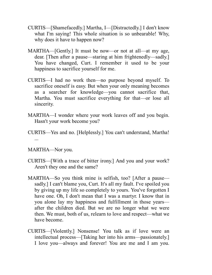- CURTIS—[Shamefacedly.] Martha, I—[Distractedly.] I don't know what I'm saying! This whole situation is so unbearable! Why, why does it have to happen now?
- MARTHA—[Gently.] It must be now—or not at all—at my age, dear. [Then after a pause—staring at him frightenedly—sadly.] You have changed, Curt. I remember it used to be your happiness to sacrifice yourself for me.
- CURTIS—I had no work then—no purpose beyond myself. To sacrifice oneself is easy. But when your only meaning becomes as a searcher for knowledge—you cannot sacrifice that, Martha. You must sacrifice everything for that—or lose all sincerity.
- MARTHA—I wonder where your work leaves off and you begin. Hasn't your work become you?
- CURTIS—Yes and no. [Helplessly.] You can't understand, Martha! ...

MARTHA—Nor you.

- CURTIS—[With a trace of bitter irony.] And you and your work? Aren't they one and the same?
- MARTHA—So you think mine is selfish, too? [After a pause sadly.] I can't blame you, Curt. It's all my fault. I've spoiled you by giving up my life so completely to yours. You've forgotten I have one. Oh, I don't mean that I was a martyr. I know that in you alone lay my happiness and fulfillment in those years after the children died. But we are no longer what we were then. We must, both of us, relearn to love and respect—what we have become.
- CURTIS—[Violently.] Nonsense! You talk as if love were an intellectual process—[Taking her into his arms—passionately.] I love you—always and forever! You are me and I am you.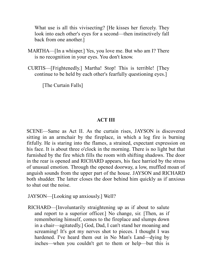What use is all this vivisecting? [He kisses her fiercely. They look into each other's eyes for a second—then instinctively fall back from one another.]

- MARTHA—[In a whisper.] Yes, you love me. But who am I? There is no recognition in your eyes. You don't know.
- CURTIS—[Frightenedly.] Martha! Stop! This is terrible! [They continue to be held by each other's fearfully questioning eyes.]

[The Curtain Falls]

## **ACT III**

SCENE—Same as Act II. As the curtain rises, JAYSON is discovered sitting in an armchair by the fireplace, in which a log fire is burning fitfully. He is staring into the flames, a strained, expectant expression on his face. It is about three o'clock in the morning. There is no light but that furnished by the fire which fills the room with shifting shadows. The door in the rear is opened and RICHARD appears, his face harried by the stress of unusual emotion. Through the opened doorway, a low, muffled moan of anguish sounds from the upper part of the house. JAYSON and RICHARD both shudder. The latter closes the door behind him quickly as if anxious to shut out the noise.

JAYSON—[Looking up anxiously.] Well?

RICHARD—[Involuntarily straightening up as if about to salute and report to a superior officer.] No change, sir. [Then, as if remembering himself, comes to the fireplace and slumps down in a chair—agitatedly.] God, Dad, I can't stand her moaning and screaming! It's got my nerves shot to pieces. I thought I was hardened. I've heard them out in No Man's Land—dying by inches—when you couldn't get to them or help—but this is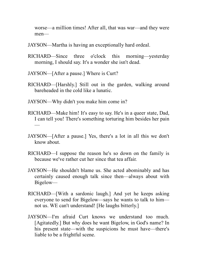worse—a million times! After all, that was war—and they were men—

- JAYSON—Martha is having an exceptionally hard ordeal.
- RICHARD—Since three o'clock this morning—yesterday morning, I should say. It's a wonder she isn't dead.
- JAYSON—[After a pause.] Where is Curt?
- RICHARD—[Harshly.] Still out in the garden, walking around bareheaded in the cold like a lunatic.
- JAYSON—Why didn't you make him come in?
- RICHARD—Make him! It's easy to say. He's in a queer state, Dad, I can tell you! There's something torturing him besides her pain —
- JAYSON—[After a pause.] Yes, there's a lot in all this we don't know about.
- RICHARD—I suppose the reason he's so down on the family is because we've rather cut her since that tea affair.
- JAYSON—He shouldn't blame us. She acted abominably and has certainly caused enough talk since then—always about with Bigelow—
- RICHARD—[With a sardonic laugh.] And yet he keeps asking everyone to send for Bigelow—says he wants to talk to him not us. WE can't understand! [He laughs bitterly.]
- JAYSON—I'm afraid Curt knows we understand too much. [Agitatedly.] But why does he want Bigelow, in God's name? In his present state—with the suspicions he must have—there's liable to be a frightful scene.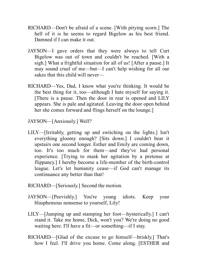- RICHARD—Don't be afraid of a scene. [With pitying scorn.] The hell of it is he seems to regard Bigelow as his best friend. Damned if I can make it out.
- JAYSON—I gave orders that they were always to tell Curt Bigelow was out of town and couldn't be reached. [With a sigh.] What a frightful situation for all of us! [After a pause.] It may sound cruel of me—but—I can't help wishing for all our sakes that this child will never—
- RICHARD—Yes, Dad, I know what you're thinking. It would be the best thing for it, too—although I hate myself for saying it. [There is a pause. Then the door in rear is opened and LILY appears. She is pale and agitated. Leaving the door open behind her she comes forward and flings herself on the lounge.]
- JAYSON—[Anxiously.] Well?
- LILY—[Irritably, getting up and switching on the lights.] Isn't everything gloomy enough? [Sits down.] I couldn't bear it upstairs one second longer. Esther and Emily are coming down, too. It's too much for them—and they've had personal experience. [Trying to mask her agitation by a pretense at flippancy.] I hereby become a life-member of the birth-control league. Let's let humanity cease—if God can't manage its continuance any better than that!
- RICHARD—[Seriously.] Second the motion.
- JAYSON—[Peevishly.] You're young idiots. Keep your blasphemous nonsense to yourself, Lily!
- LILY—[Jumping up and stamping her foot—hysterically.] I can't stand it. Take me home, Dick, won't you? We're doing no good waiting here. I'll have a fit—or something—if I stay.
- RICHARD—[Glad of the excuse to go himself—briskly.] That's how I feel. I'll drive you home. Come along. [ESTHER and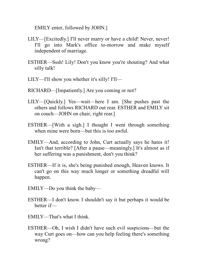EMILY enter, followed by JOHN.]

- LILY—[Excitedly.] I'll never marry or have a child! Never, never! I'll go into Mark's office to-morrow and make myself independent of marriage.
- ESTHER—Sssh! Lily! Don't you know you're shouting? And what silly talk!
- LILY—I'll show you whether it's silly! I'll—
- RICHARD—[Impatiently.] Are you coming or not?
- LILY—[Quickly.] Yes—wait—here I am. [She pushes past the others and follows RICHARD out rear. ESTHER and EMILY sit on couch—JOHN on chair, right rear.]
- ESTHER—[With a sigh.] I thought I went through something when mine were born—but this is too awful.
- EMILY—And, according to John, Curt actually says he hates it! Isn't that terrible? [After a pause—meaningly.] It's almost as if her suffering was a punishment, don't you think?
- ESTHER—If it is, she's being punished enough, Heaven knows. It can't go on this way much longer or something dreadful will happen.
- EMILY—Do you think the baby—
- ESTHER—I don't know. I shouldn't say it but perhaps it would be better if—
- EMILY—That's what I think.
- ESTHER—Oh, I wish I didn't have such evil suspicions—but the way Curt goes on—how can you help feeling there's something wrong?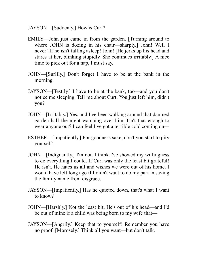- JAYSON—[Suddenly.] How is Curt?
- EMILY—John just came in from the garden. [Turning around to where JOHN is dozing in his chair—sharply.] John! Well I never! If he isn't falling asleep! John! [He jerks up his head and stares at her, blinking stupidly. She continues irritably.] A nice time to pick out for a nap, I must say.
- JOHN—[Surlily.] Don't forget I have to be at the bank in the morning.
- JAYSON—[Testily.] I have to be at the bank, too—and you don't notice me sleeping. Tell me about Curt. You just left him, didn't you?
- JOHN—[Irritably.] Yes, and I've been walking around that damned garden half the night watching over him. Isn't that enough to wear anyone out? I can feel I've got a terrible cold coming on—
- ESTHER—[Impatiently.] For goodness sake, don't you start to pity yourself!
- JOHN—[Indignantly.] I'm not. I think I've showed my willingness to do everything I could. If Curt was only the least bit grateful! He isn't. He hates us all and wishes we were out of his home. I would have left long ago if I didn't want to do my part in saving the family name from disgrace.
- JAYSON—[Impatiently.] Has he quieted down, that's what I want to know?
- JOHN—[Harshly.] Not the least bit. He's out of his head—and I'd be out of mine if a child was being born to my wife that—
- JAYSON—[Angrily.] Keep that to yourself! Remember you have no proof. [Morosely.] Think all you want—but don't talk.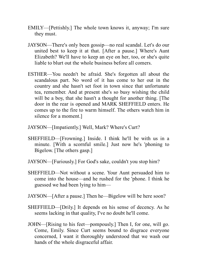- EMILY—[Pettishly.] The whole town knows it, anyway; I'm sure they must.
- JAYSON—There's only been gossip—no real scandal. Let's do our united best to keep it at that. [After a pause.] Where's Aunt Elizabeth? We'll have to keep an eye on her, too, or she's quite liable to blurt out the whole business before all comers.
- ESTHER—You needn't be afraid. She's forgotten all about the scandalous part. No word of it has come to her out in the country and she hasn't set foot in town since that unfortunate tea, remember. And at present she's so busy wishing the child will be a boy, that she hasn't a thought for another thing. [The door in the rear is opened and MARK SHEFFIELD enters. He comes up to the fire to warm himself. The others watch him in silence for a moment.]
- JAYSON—[Impatiently.] Well, Mark? Where's Curt?
- SHEFFIELD—[Frowning.] Inside. I think he'll be with us in a minute. [With a scornful smile.] Just now he's 'phoning to Bigelow. [The others gasp.]
- JAYSON—[Furiously.] For God's sake, couldn't you stop him?
- SHEFFIELD—Not without a scene. Your Aunt persuaded him to come into the house—and he rushed for the 'phone. I think he guessed we had been lying to him—
- JAYSON—[After a pause.] Then he—Bigelow will be here soon?
- SHEFFIELD—[Drily.] It depends on his sense of decency. As he seems lacking in that quality, I've no doubt he'll come.
- JOHN—[Rising to his feet—pompously.] Then I, for one, will go. Come, Emily. Since Curt seems bound to disgrace everyone concerned, I want it thoroughly understood that we wash our hands of the whole disgraceful affair.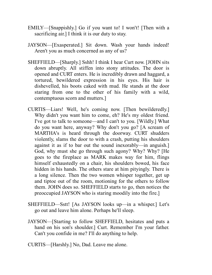- EMILY—[Snappishly.] Go if you want to! I won't! [Then with a sacrificing air.] I think it is our duty to stay.
- JAYSON—[Exasperated.] Sit down. Wash your hands indeed! Aren't you as much concerned as any of us?
- SHEFFIELD—[Sharply.] Sshh! I think I hear Curt now. [JOHN sits down abruptly. All stiffen into stony attitudes. The door is opened and CURT enters. He is incredibly drawn and haggard, a tortured, bewildered expression in his eyes. His hair is dishevelled, his boots caked with mud. He stands at the door staring from one to the other of his family with a wild, contemptuous scorn and mutters.]
- CURTIS—Liars! Well, he's coming now. [Then bewilderedly.] Why didn't you want him to come, eh? He's my oldest friend. I've got to talk to someone—and I can't to you. [Wildly.] What do you want here, anyway? Why don't you go? [A scream of MARTHA's is heard through the doorway. CURT shudders violently, slams the door to with a crash, putting his shoulders against it as if to bar out the sound inexorably—in anguish.] God, why must she go through such agony? Why? Why? [He goes to the fireplace as MARK makes way for him, flings himself exhaustedly on a chair, his shoulders bowed, his face hidden in his hands. The others stare at him pityingly. There is a long silence. Then the two women whisper together, get up and tiptoe out of the room, motioning for the others to follow them. JOHN does so. SHEFFIELD starts to go, then notices the preoccupied JAYSON who is staring moodily into the fire.]
- SHEFFIELD—Sstt! [As JAYSON looks up—in a whisper.] Let's go out and leave him alone. Perhaps he'll sleep.
- JAYSON—[Starting to follow SHEFFIELD, hesitates and puts a hand on his son's shoulder.] Curt. Remember I'm your father. Can't you confide in me? I'll do anything to help.
- CURTIS—[Harshly.] No, Dad. Leave me alone.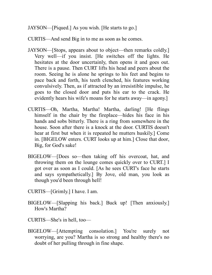JAYSON—[Piqued.] As you wish. [He starts to go.]

CURTIS—And send Big in to me as soon as he comes.

- JAYSON—[Stops, appears about to object—then remarks coldly.] Very well—if you insist. [He switches off the lights. He hesitates at the door uncertainly, then opens it and goes out. There is a pause. Then CURT lifts his head and peers about the room. Seeing he is alone he springs to his feet and begins to pace back and forth, his teeth clenched, his features working convulsively. Then, as if attracted by an irresistible impulse, he goes to the closed door and puts his ear to the crack. He evidently hears his wife's moans for he starts away—in agony.]
- CURTIS—Oh, Martha, Martha! Martha, darling! [He flings himself in the chair by the fireplace—hides his face in his hands and sobs bitterly. There is a ring from somewhere in the house. Soon after there is a knock at the door. CURTIS doesn't hear at first but when it is repeated he mutters huskily.] Come in. [BIGELOW enters. CURT looks up at him.] Close that door, Big, for God's sake!
- BIGELOW—[Does so—then taking off his overcoat, hat, and throwing them on the lounge comes quickly over to CURT.] I got over as soon as I could. [As he sees CURT's face he starts and says sympathetically.] By Jove, old man, you look as though you'd been through hell!
- CURTIS—[Grimly.] I have. I am.
- BIGELOW—[Slapping his back.] Buck up! [Then anxiously.] How's Martha?
- CURTIS—She's in hell, too—
- BIGELOW—[Attempting consolation.] You're surely not worrying, are you? Martha is so strong and healthy there's no doubt of her pulling through in fine shape.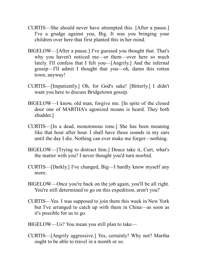- CURTIS—She should never have attempted this. [After a pause.] I've a grudge against you, Big. It was you bringing your children over here that first planted this in her mind.
- BIGELOW—[After a pause.] I've guessed you thought that. That's why you haven't noticed me—or them—over here so much lately. I'll confess that I felt you—[Angrily.] And the infernal gossip—I'll admit I thought that you—oh, damn this rotten town, anyway!
- CURTIS—[Impatiently.] Oh, for God's sake! [Bitterly.] I didn't want you here to discuss Bridgetown gossip.
- BIGELOW—I know, old man, forgive me. [In spite of the closed door one of MARTHA's agonized moans is heard. They both shudder.]
- CURTIS—[In a dead, monotonous tone.] She has been moaning like that hour after hour. I shall have those sounds in my ears until the day I die. Nothing can ever make me forget—nothing.
- BIGELOW—[Trying to distract him.] Deuce take it, Curt, what's the matter with you? I never thought you'd turn morbid.
- CURTIS—[Darkly.] I've changed, Big—I hardly know myself any more.
- BIGELOW—Once you're back on the job again, you'll be all right. You're still determined to go on this expedition, aren't you?
- CURTIS—Yes. I was supposed to join them this week in New York but I've arranged to catch up with them in China—as soon as it's possible for us to go.
- BIGELOW—Us? You mean you still plan to take—
- CURTIS—[Angrily aggressive.] Yes, certainly! Why not? Martha ought to be able to travel in a month or so.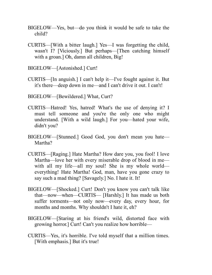- BIGELOW—Yes, but—do you think it would be safe to take the child?
- CURTIS—[With a bitter laugh.] Yes—I was forgetting the child, wasn't I? [Viciously.] But perhaps—[Then catching himself with a groan.] Oh, damn all children, Big!
- BIGELOW—[Astonished.] Curt!
- CURTIS—[In anguish.] I can't help it—I've fought against it. But it's there—deep down in me—and I can't drive it out. I can't!
- BIGELOW—[Bewildered.] What, Curt?
- CURTIS—Hatred! Yes, hatred! What's the use of denying it? I must tell someone and you're the only one who might understand. [With a wild laugh.] For you—hated your wife, didn't you?
- BIGELOW—[Stunned.] Good God, you don't mean you hate— Martha?
- CURTIS—[Raging.] Hate Martha? How dare you, you fool! I love Martha—love her with every miserable drop of blood in me with all my life—all my soul! She is my whole world everything! Hate Martha! God, man, have you gone crazy to say such a mad thing? [Savagely.] No. I hate it. It!
- BIGELOW—[Shocked.] Curt! Don't you know you can't talk like that—now—when—CURTIS— [Harshly.] It has made us both suffer torments—not only now—every day, every hour, for months and months. Why shouldn't I hate it, eh?
- BIGELOW—[Staring at his friend's wild, distorted face with growing horror.] Curt! Can't you realize how horrible—
- CURTIS—Yes, it's horrible. I've told myself that a million times. [With emphasis.] But it's true!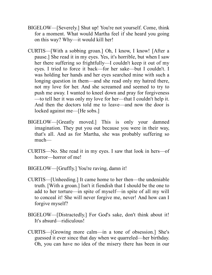- BIGELOW—[Severely.] Shut up! You're not yourself. Come, think for a moment. What would Martha feel if she heard you going on this way? Why—it would kill her!
- CURTIS—[With a sobbing groan.] Oh, I know, I know! [After a pause.] She read it in my eyes. Yes, it's horrible, but when I saw her there suffering so frightfully—I couldn't keep it out of my eyes. I tried to force it back—for her sake—but I couldn't. I was holding her hands and her eyes searched mine with such a longing question in them—and she read only my hatred there, not my love for her. And she screamed and seemed to try to push me away. I wanted to kneel down and pray for forgiveness —to tell her it was only my love for her—that I couldn't help it. And then the doctors told me to leave—and now the door is locked against me—[He sobs.]
- BIGELOW—[Greatly moved.] This is only your damned imagination. They put you out because you were in their way, that's all. And as for Martha, she was probably suffering so much—
- CURTIS—No. She read it in my eyes. I saw that look in hers—of horror—horror of me!
- BIGELOW—[Gruffly.] You're raving, damn it!
- CURTIS—[Unheeding.] It came home to her then—the undeniable truth. [With a groan.] Isn't it fiendish that I should be the one to add to her torture—in spite of myself—in spite of all my will to conceal it! She will never forgive me, never! And how can I forgive myself?
- BIGELOW—[Distractedly.] For God's sake, don't think about it! It's absurd—ridiculous!
- CURTIS—[Growing more calm—in a tone of obsession.] She's guessed it ever since that day when we quarreled—her birthday. Oh, you can have no idea of the misery there has been in our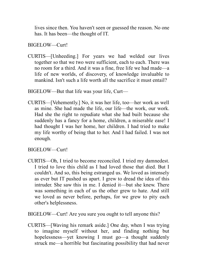lives since then. You haven't seen or guessed the reason. No one has. It has been—the thought of IT.

BIGELOW—Curt!

CURTIS—[Unheeding.] For years we had welded our lives together so that we two were sufficient, each to each. There was no room for a third. And it was a fine, free life we had made—a life of new worlds, of discovery, of knowledge invaluable to mankind. Isn't such a life worth all the sacrifice it must entail?

BIGELOW—But that life was your life, Curt—

CURTIS—[Vehemently.] No, it was her life, too—her work as well as mine. She had made the life, our life—the work, our work. Had she the right to repudiate what she had built because she suddenly has a fancy for a home, children, a miserable ease! I had thought I was her home, her children. I had tried to make my life worthy of being that to her. And I had failed. I was not enough.

BIGELOW—Curt!

- CURTIS—Oh, I tried to become reconciled. I tried my damnedest. I tried to love this child as I had loved those that died. But I couldn't. And so, this being estranged us. We loved as intensely as ever but IT pushed us apart. I grew to dread the idea of this intruder. She saw this in me. I denied it—but she knew. There was something in each of us the other grew to hate. And still we loved as never before, perhaps, for we grew to pity each other's helplessness.
- BIGELOW—Curt! Are you sure you ought to tell anyone this?
- CURTIS—[Waving his remark aside.] One day, when I was trying to imagine myself without her, and finding nothing but hopelessness—yet knowing I must go—a thought suddenly struck me—a horrible but fascinating possibility that had never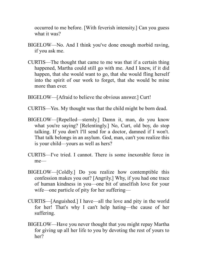occurred to me before. [With feverish intensity.] Can you guess what it was?

- BIGELOW—No. And I think you've done enough morbid raving, if you ask me.
- CURTIS—The thought that came to me was that if a certain thing happened, Martha could still go with me. And I knew, if it did happen, that she would want to go, that she would fling herself into the spirit of our work to forget, that she would be mine more than ever.
- BIGELOW—[Afraid to believe the obvious answer.] Curt!
- CURTIS—Yes. My thought was that the child might be born dead.
- BIGELOW—[Repelled—sternly.] Damn it, man, do you know what you're saying? [Relentingly.] No, Curt, old boy, do stop talking. If you don't I'll send for a doctor, damned if I won't. That talk belongs in an asylum. God, man, can't you realize this is your child—yours as well as hers?
- CURTIS—I've tried. I cannot. There is some inexorable force in me—
- BIGELOW—[Coldly.] Do you realize how contemptible this confession makes you out? [Angrily.] Why, if you had one trace of human kindness in you—one bit of unselfish love for your wife—one particle of pity for her suffering—
- CURTIS—[Anguished.] I have—all the love and pity in the world for her! That's why I can't help hating—the cause of her suffering.
- BIGELOW—Have you never thought that you might repay Martha for giving up all her life to you by devoting the rest of yours to her?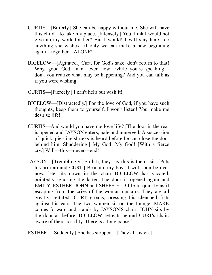- CURTIS—[Bitterly.] She can be happy without me. She will have this child—to take my place. [Intensely.] You think I would not give up my work for her? But I would! I will stay here—do anything she wishes—if only we can make a new beginning again—together—ALONE!
- BIGELOW—[Agitated.] Curt, for God's sake, don't return to that! Why, good God, man—even now—while you're speaking don't you realize what may be happening? And you can talk as if you were wishing—
- CURTIS—[Fiercely.] I can't help but wish it!
- BIGELOW—[Distractedly.] For the love of God, if you have such thoughts, keep them to yourself. I won't listen! You make me despise life!
- CURTIS—And would you have me love life? [The door in the rear is opened and JAYSON enters, pale and unnerved. A succession of quick, piercing shrieks is heard before he can close the door behind him. Shuddering.] My God! My God! [With a fierce cry.] Will—this—never—end!
- JAYSON—[Tremblingly.] Sh-h-h, they say this is the crisis. [Puts his arm around CURT.] Bear up, my boy, it will soon be over now. [He sits down in the chair BIGELOW has vacated, pointedly ignoring the latter. The door is opened again and EMILY, ESTHER, JOHN and SHEFFIELD file in quickly as if escaping from the cries of the woman upstairs. They are all greatly agitated. CURT groans, pressing his clenched fists against his ears. The two women sit on the lounge. MARK comes forward and stands by JAYSON'S chair, JOHN sits by the door as before. BIGELOW retreats behind CURT's chair, aware of their hostility. There is a long pause.]
- ESTHER—[Suddenly.] She has stopped—[They all listen.]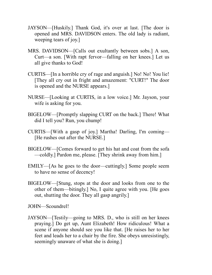- JAYSON—[Huskily.] Thank God, it's over at last. [The door is opened and MRS. DAVIDSON enters. The old lady is radiant, weeping tears of joy.]
- MRS. DAVIDSON—[Calls out exultantly between sobs.] A son, Curt—a son. [With rapt fervor—falling on her knees.] Let us all give thanks to God!
- CURTIS—[In a horrible cry of rage and anguish.] No! No! You lie! [They all cry out in fright and amazement: "CURT!" The door is opened and the NURSE appears.]
- NURSE—[Looking at CURTIS, in a low voice.] Mr. Jayson, your wife is asking for you.
- BIGELOW—[Promptly slapping CURT on the back.] There! What did I tell you? Run, you chump!
- CURTIS—[With a gasp of joy.] Martha! Darling, I'm coming— [He rushes out after the NURSE.]
- BIGELOW—[Comes forward to get his hat and coat from the sofa —coldly.] Pardon me, please. [They shrink away from him.]
- EMILY—[As he goes to the door—cuttingly.] Some people seem to have no sense of decency!
- BIGELOW—[Stung, stops at the door and looks from one to the other of them—bitingly.] No, I quite agree with you. [He goes out, shutting the door. They all gasp angrily.]

JOHN—Scoundrel!

JAYSON—[Testily—going to MRS. D., who is still on her knees praying.] Do get up, Aunt Elizabeth! How ridiculous! What a scene if anyone should see you like that. [He raises her to her feet and leads her to a chair by the fire. She obeys unresistingly, seemingly unaware of what she is doing.]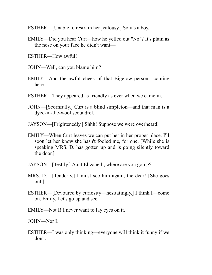ESTHER—[Unable to restrain her jealousy.] So it's a boy.

EMILY—Did you hear Curt—how he yelled out "No"? It's plain as the nose on your face he didn't want—

ESTHER—How awful!

JOHN—Well, can you blame him?

- EMILY—And the awful cheek of that Bigelow person—coming here—
- ESTHER—They appeared as friendly as ever when we came in.
- JOHN—[Scornfully.] Curt is a blind simpleton—and that man is a dyed-in-the-wool scoundrel.

JAYSON—[Frightenedly.] Shhh! Suppose we were overheard!

- EMILY—When Curt leaves we can put her in her proper place. I'll soon let her know she hasn't fooled me, for one. [While she is speaking MRS. D. has gotten up and is going silently toward the door.]
- JAYSON—[Testily.] Aunt Elizabeth, where are you going?
- MRS. D.—[Tenderly.] I must see him again, the dear! [She goes out.]
- ESTHER—[Devoured by curiosity—hesitatingly.] I think I—come on, Emily. Let's go up and see—
- EMILY—Not I! I never want to lay eyes on it.

JOHN—Nor I.

ESTHER—I was only thinking—everyone will think it funny if we don't.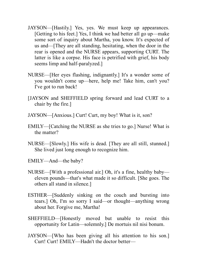- JAYSON—[Hastily.] Yes, yes. We must keep up appearances. [Getting to his feet.] Yes, I think we had better all go up—make some sort of inquiry about Martha, you know. It's expected of us and—[They are all standing, hesitating, when the door in the rear is opened and the NURSE appears, supporting CURT. The latter is like a corpse. His face is petrified with grief, his body seems limp and half-paralyzed.]
- NURSE—[Her eyes flashing, indignantly.] It's a wonder some of you wouldn't come up—here, help me! Take him, can't you? I've got to run back!
- [JAYSON and SHEFFIELD spring forward and lead CURT to a chair by the fire.]
- JAYSON—[Anxious.] Curt! Curt, my boy! What is it, son?
- EMILY—[Catching the NURSE as she tries to go.] Nurse! What is the matter?
- NURSE—[Slowly.] His wife is dead. [They are all still, stunned.] She lived just long enough to recognize him.
- EMILY—And—the baby?
- NURSE—[With a professional air.] Oh, it's a fine, healthy baby eleven pounds—that's what made it so difficult. [She goes. The others all stand in silence.]
- ESTHER—[Suddenly sinking on the couch and bursting into tears.] Oh, I'm so sorry I said—or thought—anything wrong about her. Forgive me, Martha!
- SHEFFIELD—[Honestly moved but unable to resist this opportunity for Latin—solemnly.] De mortuis nil nisi bonum.
- JAYSON—[Who has been giving all his attention to his son.] Curt! Curt! EMILY—Hadn't the doctor better—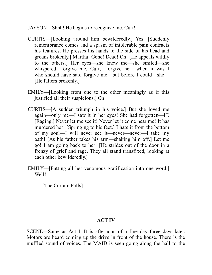- JAYSON—Shhh! He begins to recognize me. Curt!
- CURTIS—[Looking around him bewilderedly.] Yes. [Suddenly remembrance comes and a spasm of intolerable pain contracts his features. He presses his hands to the side of his head and groans brokenly.] Martha! Gone! Dead! Oh! [He appeals wildly to the others.] Her eyes—she knew me—she smiled—she whispered—forgive me, Curt,—forgive her—when it was I who should have said forgive me—but before I could—she— [He falters brokenly.]
- EMILY—[Looking from one to the other meaningly as if this justified all their suspicions.] Oh!
- CURTIS—[A sudden triumph in his voice.] But she loved me again—only me—I saw it in her eyes! She had forgotten—IT. [Raging.] Never let me see it! Never let it come near me! It has murdered her! [Springing to his feet.] I hate it from the bottom of my soul—I will never see it—never—never—I take my oath! [As his father takes his arm—shaking him off.] Let me go! I am going back to her! [He strides out of the door in a frenzy of grief and rage. They all stand transfixed, looking at each other bewilderedly.]
- EMILY—[Putting all her venomous gratification into one word.] Well!

[The Curtain Falls]

## **ACT IV**

SCENE—Same as Act I. It is afternoon of a fine day three days later. Motors are heard coming up the drive in front of the house. There is the muffled sound of voices. The MAID is seen going along the hall to the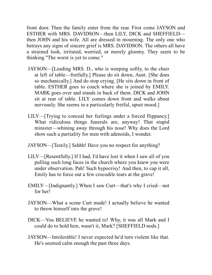front door. Then the family enter from the rear. First come JAYSON and ESTHER with MRS. DAVIDSON—then LILY, DICK and SHEFFIELD then JOHN and his wife. All are dressed in mourning. The only one who betrays any signs of sincere grief is MRS. DAVIDSON. The others all have a strained look, irritated, worried, or merely gloomy. They seem to be thinking "The worst is yet to come."

- JAYSON—[Leading MRS. D., who is weeping softly, to the chair at left of table—fretfully.] Please do sit down, Aunt. [She does so mechanically.] And do stop crying. [He sits down in front of table. ESTHER goes to couch where she is joined by EMILY. MARK goes over and stands in back of them. DICK and JOHN sit at rear of table. LILY comes down front and walks about nervously. She seems in a particularly fretful, upset mood.]
- LILY—[Trying to conceal her feelings under a forced flippancy.] What ridiculous things funerals are, anyway! That stupid minister—whining away through his nose! Why does the Lord show such a partiality for men with adenoids, I wonder.
- JAYSON—[Testily.] Sshhh! Have you no respect for anything?
- LILY—[Resentfully.] If I had, I'd have lost it when I saw all of you pulling such long faces in the church where you knew you were under observation. Pah! Such hypocrisy! And then, to cap it all, Emily has to force out a few crocodile tears at the grave!
- EMILY—[Indignantly.] When I saw Curt—that's why I cried—not for her!
- JAYSON—What a scene Curt made! I actually believe he wanted to throw himself into the grave!
- DICK—You BELIEVE he wanted to! Why, it was all Mark and I could do to hold him, wasn't it, Mark? [SHEFFIELD nods.]
- JAYSON—Intolerable! I never expected he'd turn violent like that. He's seemed calm enough the past three days.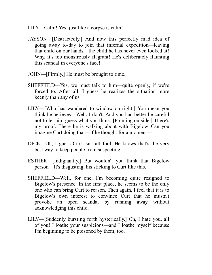- LILY—Calm! Yes, just like a corpse is calm!
- JAYSON—[Distractedly.] And now this perfectly mad idea of going away to-day to join that infernal expedition—leaving that child on our hands—the child he has never even looked at! Why, it's too monstrously flagrant! He's deliberately flaunting this scandal in everyone's face!
- JOHN—[Firmly.] He must be brought to time.
- SHEFFIELD—Yes, we must talk to him—quite openly, if we're forced to. After all, I guess he realizes the situation more keenly than any of us.
- LILY—[Who has wandered to window on right.] You mean you think he believes—Well, I don't. And you had better be careful not to let him guess what you think. [Pointing outside.] There's my proof. There he is walking about with Bigelow. Can you imagine Curt doing that—if he thought for a moment—
- DICK—Oh, I guess Curt isn't all fool. He knows that's the very best way to keep people from suspecting.
- ESTHER—[Indignantly.] But wouldn't you think that Bigelow person—It's disgusting, his sticking to Curt like this.
- SHEFFIELD—Well, for one, I'm becoming quite resigned to Bigelow's presence. In the first place, he seems to be the only one who can bring Curt to reason. Then again, I feel that it is to Bigelow's own interest to convince Curt that he mustn't provoke an open scandal by running away without acknowledging this child.
- LILY—[Suddenly bursting forth hysterically.] Oh, I hate you, all of you! I loathe your suspicions—and I loathe myself because I'm beginning to be poisoned by them, too.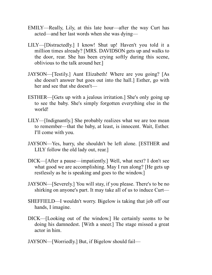- EMILY—Really, Lily, at this late hour—after the way Curt has acted—and her last words when she was dying—
- LILY—[Distractedly.] I know! Shut up! Haven't you told it a million times already? [MRS. DAVIDSON gets up and walks to the door, rear. She has been crying softly during this scene, oblivious to the talk around her.]
- JAYSON—[Testily.] Aunt Elizabeth! Where are you going? [As she doesn't answer but goes out into the hall.] Esther, go with her and see that she doesn't—
- ESTHER—[Gets up with a jealous irritation.] She's only going up to see the baby. She's simply forgotten everything else in the world!
- LILY—[Indignantly.] She probably realizes what we are too mean to remember—that the baby, at least, is innocent. Wait, Esther. I'll come with you.
- JAYSON—Yes, hurry, she shouldn't be left alone. [ESTHER and LILY follow the old lady out, rear.]
- DICK—[After a pause—impatiently.] Well, what next? I don't see what good we are accomplishing. May I run along? [He gets up restlessly as he is speaking and goes to the window.]
- JAYSON—[Severely.] You will stay, if you please. There's to be no shirking on anyone's part. It may take all of us to induce Curt—
- SHEFFIELD—I wouldn't worry. Bigelow is taking that job off our hands, I imagine.
- DICK—[Looking out of the window.] He certainly seems to be doing his damnedest. [With a sneer.] The stage missed a great actor in him.
- JAYSON—[Worriedly.] But, if Bigelow should fail—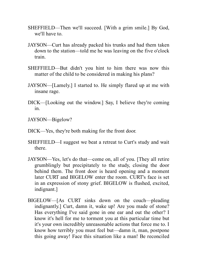- SHEFFIELD—Then we'll succeed. [With a grim smile.] By God, we'll have to.
- JAYSON—Curt has already packed his trunks and had them taken down to the station—told me he was leaving on the five o'clock train.
- SHEFFIELD—But didn't you hint to him there was now this matter of the child to be considered in making his plans?
- JAYSON—[Lamely.] I started to. He simply flared up at me with insane rage.
- DICK—[Looking out the window.] Say, I believe they're coming in.
- JAYSON—Bigelow?
- DICK—Yes, they're both making for the front door.
- SHEFFIELD—I suggest we beat a retreat to Curt's study and wait there.
- JAYSON—Yes, let's do that—come on, all of you. [They all retire grumblingly but precipitately to the study, closing the door behind them. The front door is heard opening and a moment later CURT and BIGELOW enter the room. CURT's face is set in an expression of stony grief. BIGELOW is flushed, excited, indignant.]
- BIGELOW—[As CURT sinks down on the couch—pleading indignantly.] Curt, damn it, wake up! Are you made of stone? Has everything I've said gone in one ear and out the other? I know it's hell for me to torment you at this particular time but it's your own incredibly unreasonable actions that force me to. I know how terribly you must feel but—damn it, man, postpone this going away! Face this situation like a man! Be reconciled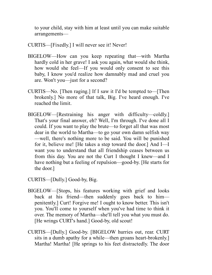to your child, stay with him at least until you can make suitable arrangements—

- CURTIS—[Fixedly.] I will never see it! Never!
- BIGELOW—How can you keep repeating that—with Martha hardly cold in her grave! I ask you again, what would she think, how would she feel—If you would only consent to see this baby, I know you'd realize how damnably mad and cruel you are. Won't you—just for a second?
- CURTIS—No. [Then raging.] If I saw it I'd be tempted to—[Then brokenly.] No more of that talk, Big. I've heard enough. I've reached the limit.
- BIGELOW—[Restraining his anger with difficulty—coldly.] That's your final answer, eh? Well, I'm through. I've done all I could. If you want to play the brute—to forget all that was most dear in the world to Martha—to go your own damn selfish way —well, there's nothing more to be said. You will be punished for it, believe me! [He takes a step toward the door.] And I—I want you to understand that all friendship ceases between us from this day. You are not the Curt I thought I knew—and I have nothing but a feeling of repulsion—good-by. [He starts for the door.]
- CURTIS—[Dully.] Good-by, Big.
- BIGELOW—[Stops, his features working with grief and looks back at his friend—then suddenly goes back to him penitently.] Curt! Forgive me! I ought to know better. This isn't you. You'll come to yourself when you've had time to think it over. The memory of Martha—she'll tell you what you must do. [He wrings CURT's hand.] Good-by, old scout!
- CURTIS—[Dully.] Good-by. [BIGELOW hurries out, rear. CURT sits in a dumb apathy for a while—then groans heart-brokenly.] Martha! Martha! [He springs to his feet distractedly. The door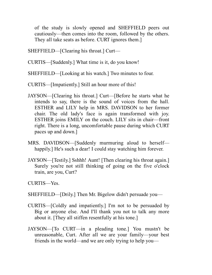of the study is slowly opened and SHEFFIELD peers out cautiously—then comes into the room, followed by the others. They all take seats as before. CURT ignores them.]

- SHEFFIELD—[Clearing his throat.] Curt—
- CURTIS—[Suddenly.] What time is it, do you know!

SHEFFIELD—[Looking at his watch.] Two minutes to four.

CURTIS—[Impatiently.] Still an hour more of this!

- JAYSON—[Clearing his throat.] Curt—[Before he starts what he intends to say, there is the sound of voices from the hall. ESTHER and LILY help in MRS. DAVIDSON to her former chair. The old lady's face is again transformed with joy. ESTHER joins EMILY on the couch. LILY sits in chair—front right. There is a long, uncomfortable pause during which CURT paces up and down.]
- MRS. DAVIDSON—[Suddenly murmuring aloud to herself happily.] He's such a dear! I could stay watching him forever.
- JAYSON—[Testily.] Sshhh! Aunt! [Then clearing his throat again.] Surely you're not still thinking of going on the five o'clock train, are you, Curt?
- CURTIS—Yes.
- SHEFFIELD—[Drily.] Then Mr. Bigelow didn't persuade you—
- CURTIS—[Coldly and impatiently.] I'm not to be persuaded by Big or anyone else. And I'll thank you not to talk any more about it. [They all stiffen resentfully at his tone.]
- JAYSON—[To CURT—in a pleading tone.] You mustn't be unreasonable, Curt. After all we are your family—your best friends in the world—and we are only trying to help you—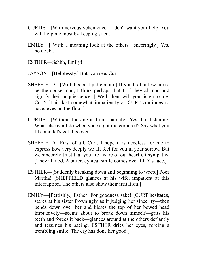- CURTIS—[With nervous vehemence.] I don't want your help. You will help me most by keeping silent.
- EMILY—[ With a meaning look at the others—sneeringly.] Yes, no doubt.
- ESTHER—Sshhh, Emily!
- JAYSON—[Helplessly.] But, you see, Curt—
- SHEFFIELD—[With his best judicial air.] If you'll all allow me to be the spokesman, I think perhaps that I—[They all nod and signify their acquiescence. ] Well, then, will you listen to me, Curt? [This last somewhat impatiently as CURT continues to pace, eyes on the floor.]
- CURTIS—[Without looking at him—harshly.] Yes, I'm listening. What else can I do when you've got me cornered? Say what you like and let's get this over.
- SHEFFIELD—First of all, Curt, I hope it is needless for me to express how very deeply we all feel for you in your sorrow. But we sincerely trust that you are aware of our heartfelt sympathy. [They all nod. A bitter, cynical smile comes over LILY's face.]
- ESTHER—[Suddenly breaking down and beginning to weep.] Poor Martha! [SHEFFIELD glances at his wife, impatient at this interruption. The others also show their irritation.]
- EMILY—[Pettishly.] Esther! For goodness sake! [CURT hesitates, stares at his sister frowningly as if judging her sincerity—then bends down over her and kisses the top of her bowed head impulsively—seems about to break down himself—grits his teeth and forces it back—glances around at the others defiantly and resumes his pacing. ESTHER dries her eyes, forcing a trembling smile. The cry has done her good.]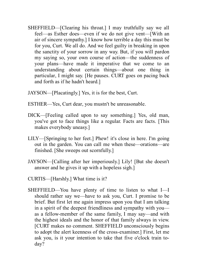- SHEFFIELD—[Clearing his throat.] I may truthfully say we all feel—as Esther does—even if we do not give vent—[With an air of sincere sympathy.] I know how terrible a day this must be for you, Curt. We all do. And we feel guilty in breaking in upon the sanctity of your sorrow in any way. But, if you will pardon my saying so, your own course of action—the suddenness of your plans—have made it imperative that we come to an understanding about certain things—about one thing in particular, I might say. [He pauses. CURT goes on pacing back and forth as if he hadn't heard.]
- JAYSON—[Placatingly.] Yes, it is for the best, Curt.
- ESTHER—Yes, Curt dear, you mustn't be unreasonable.
- DICK—[Feeling called upon to say something.] Yes, old man, you've got to face things like a regular. Facts are facts. [This makes everybody uneasy.]
- LILY—[Springing to her feet.] Phew! it's close in here. I'm going out in the garden. You can call me when these—orations—are finished. [She sweeps out scornfully.]
- JAYSON—[Calling after her imperiously.] Lily! [But she doesn't answer and he gives it up with a hopeless sigh.]
- CURTIS—[Harshly.] What time is it?
- SHEFFIELD—You have plenty of time to listen to what I—I should rather say we—have to ask you, Curt. I promise to be brief. But first let me again impress upon you that I am talking in a spirit of the deepest friendliness and sympathy with you as a fellow-member of the same family, I may say—and with the highest ideals and the honor of that family always in view. [CURT makes no comment. SHEFFIELD unconsciously begins to adopt the alert keenness of the cross-examiner.] First, let me ask you, is it your intention to take that five o'clock train today?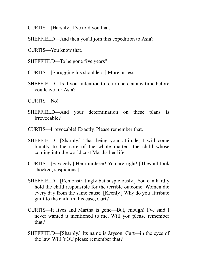CURTIS—[Harshly.] I've told you that.

SHEFFIELD—And then you'll join this expedition to Asia?

CURTIS—You know that.

SHEFFIELD—To be gone five years?

CURTIS—[Shrugging his shoulders.] More or less.

SHEFFIELD—Is it your intention to return here at any time before you leave for Asia?

CURTIS—No!

- SHEFFIELD—And your determination on these plans is irrevocable?
- CURTIS—Irrevocable! Exactly. Please remember that.
- SHEFFIELD—[Sharply.] That being your attitude, I will come bluntly to the core of the whole matter—the child whose coming into the world cost Martha her life.
- CURTIS—[Savagely.] Her murderer! You are right! [They all look shocked, suspicious.]
- SHEFFIELD—[Remonstratingly but suspiciously.] You can hardly hold the child responsible for the terrible outcome. Women die every day from the same cause. [Keenly.] Why do you attribute guilt to the child in this case, Curt?
- CURTIS—It lives and Martha is gone—But, enough! I've said I never wanted it mentioned to me. Will you please remember that?
- SHEFFIELD—[Sharply.] Its name is Jayson. Curt—in the eyes of the law. Will YOU please remember that?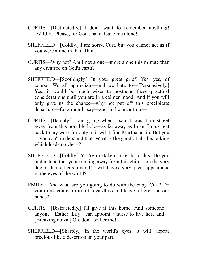- CURTIS—[Distractedly.] I don't want to remember anything! [Wildly.] Please, for God's sake, leave me alone!
- SHEFFIELD—[Coldly.] I am sorry, Curt, but you cannot act as if you were alone in this affair.
- CURTIS—Why not? Am I not alone—more alone this minute than any creature on God's earth?
- SHEFFIELD—[Soothingly.] In your great grief. Yes, yes, of course. We all appreciate—and we hate to—[Persuasively.] Yes, it would be much wiser to postpone these practical considerations until you are in a calmer mood. And if you will only give us the chance—why not put off this precipitate departure—for a month, say—and in the meantime—
- CURTIS—[Harshly.] I am going when I said I was. I must get away from this horrible hole—as far away as I can. I must get back to my work for only in it will I find Martha again. But you —you can't understand that. What is the good of all this talking which leads nowhere?
- SHEFFIELD—[Coldly.] You're mistaken. It leads to this: Do you understand that your running away from this child—on the very day of its mother's funeral!—will have a very queer appearance in the eyes of the world?
- EMILY—And what are you going to do with the baby, Curt? Do you think you can run off regardless and leave it here—on our hands?
- CURTIS—[Distractedly.] I'll give it this home. And someone anyone—Esther, Lily—can appoint a nurse to live here and— [Breaking down.] Oh, don't bother me!
- SHEFFIELD—[Sharply.] In the world's eyes, it will appear precious like a desertion on your part.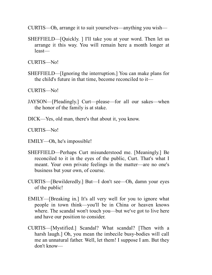CURTIS—Oh, arrange it to suit yourselves—anything you wish—

SHEFFIELD—[Quickly. ] I'll take you at your word. Then let us arrange it this way. You will remain here a month longer at least—

CURTIS—No!

SHEFFIELD—[Ignoring the interruption.] You can make plans for the child's future in that time, become reconciled to it—

CURTIS—No!

- JAYSON—[Pleadingly.] Curt—please—for all our sakes—when the honor of the family is at stake.
- DICK—Yes, old man, there's that about it, you know.

CURTIS—No!

EMILY—Oh, he's impossible!

- SHEFFIELD—Perhaps Curt misunderstood me. [Meaningly.] Be reconciled to it in the eyes of the public, Curt. That's what I meant. Your own private feelings in the matter—are no one's business but your own, of course.
- CURTIS—[Bewilderedly.] But—I don't see—Oh, damn your eyes of the public!
- EMILY—[Breaking in.] It's all very well for you to ignore what people in town think—you'll be in China or heaven knows where. The scandal won't touch you—but we've got to live here and have our position to consider.
- CURTIS—[Mystified.] Scandal? What scandal? [Then with a harsh laugh.] Oh, you mean the imbecile busy-bodies will call me an unnatural father. Well, let them! I suppose I am. But they don't know—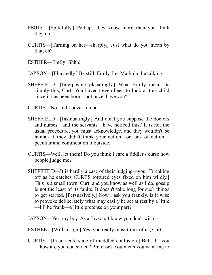- EMILY—[Spitefully.] Perhaps they know more than you think they do.
- CURTIS—[Turning on her—sharply.] Just what do you mean by that, eh?
- ESTHER—Emily! Shhh!

JAYSON—[Flurriedly.] Be still, Emily. Let Mark do the talking.

- SHEFFIELD—[Interposing placatingly.] What Emily means is simply this, Curt: You haven't even been to look at this child since it has been born—not once, have you?
- CURTIS—No, and I never intend—
- SHEFFIELD—[Insinuatingly.] And don't you suppose the doctors and nurses—and the servants—have noticed this? It is not the usual procedure, you must acknowledge, and they wouldn't be human if they didn't think your action—or lack of action peculiar and comment on it outside.
- CURTIS—Well, let them! Do you think I care a fiddler's curse how people judge me?
- SHEFFIELD—It is hardly a case of their judging—you. [Breaking off as he catches CURT'S tortured eyes fixed on him wildly.] This is a small town, Curt, and you know as well as I do, gossip is not the least of its faults. It doesn't take long for such things to get started. [Persuasively.] Now I ask you frankly, is it wise to provoke deliberately what may easily be set at rest by a little —I'll be frank—a little pretense on your part?

JAYSON—Yes, my boy. As a Jayson, I know you don't wish—

ESTHEE—[With a sigh.] Yes, you really must think of us, Curt.

CURTIS—[In an acute state of muddled confusion.] But—I—you —how are you concerned? Pretense? You mean you want me to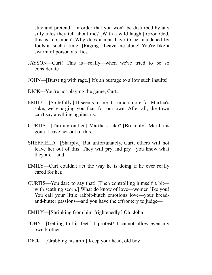stay and pretend—in order that you won't be disturbed by any silly tales they tell about me? [With a wild laugh.] Good God, this is too much! Why does a man have to be maddened by fools at such a time! [Raging.] Leave me alone! You're like a swarm of poisonous flies.

- JAYSON—Curt! This is—really—when we've tried to be so considerate—
- JOHN—[Bursting with rage.] It's an outrage to allow such insults!
- DICK—You're not playing the game, Curt.
- EMILY—[Spitefully.] It seems to me it's much more for Martha's sake, we're urging you than for our own. After all, the town can't say anything against us.
- CURTIS—[Turning on her.] Martha's sake? [Brokenly.] Martha is gone. Leave her out of this.
- SHEFFIELD—[Sharply.] But unfortunately, Curt, others will not leave her out of this. They will pry and pry—you know what they are—and—
- EMILY—Curt couldn't act the way he is doing if he ever really cared for her.
- CURTIS—You dare to say that! [Then controlling himself a bit with scathing scorn.] What do know of love—women like you! You call your little rabbit-hutch emotions love—your breadand-butter passions—and you have the effrontery to judge—
- EMILY—[Shrinking from him frightenedly.] Oh! John!
- JOHN—[Getting to his feet.] I protest! I cannot allow even my own brother—
- DICK—[Grabbing his arm.] Keep your head, old boy.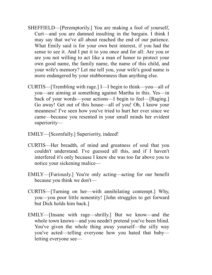- SHEFFIELD—[Peremptorily.] You are making a fool of yourself, Curt—and you are damned insulting in the bargain. I think I may say that we've all about reached the end of our patience. What Emily said is for your own best interest, if you had the sense to see it. And I put it to you once and for all: Are you or are you not willing to act like a man of honor to protect your own good name, the family name, the name of this child, and your wife's memory? Let me tell you, your wife's good name is more endangered by your stubbornness than anything else.
- CURTIS—[Trembling with rage.] I—I begin to think—you—all of you—are aiming at something against Martha in this. Yes—in back of your words—your actions—I begin to feel—[Raging.] Go away! Get out of this house—all of you! Oh, I know your meanness! I've seen how you've tried to hurt her ever since we came—because you resented in your small minds her evident superiority—
- EMILY—[Scornfully.] Superiority, indeed!
- CURTIS—Her breadth, of mind and greatness of soul that you couldn't understand. I've guessed all this, and if I haven't interfered it's only because I knew she was too far above you to notice your sickening malice—
- EMILY—[Furiously.] You're only acting—acting for our benefit because you think we don't—
- CURTIS—[Turning on her—with annihilating contempt.] Why, you—you poor little nonentity! [John struggles to get forward but Dick holds him back.]
- EMILY—[Insane with rage—shrilly.] But we know—and the whole town knows—and you needn't pretend you've been blind. You've given the whole thing away yourself—the silly way you've acted—telling everyone how you hated that baby letting everyone see—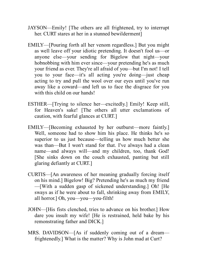- JAYSON—Emily! [The others are all frightened, try to interrupt her. CURT stares at her in a stunned bewilderment]
- EMILY—[Pouring forth all her venom regardless.] But you might as well leave off your idiotic pretending. It doesn't fool us—or anyone else—your sending for Bigelow that night—your hobnobbing with him ever since—your pretending he's as much your friend as ever. They're all afraid of you—but I'm not! I tell you to your face—it's all acting you're doing—just cheap acting to try and pull the wool over our eyes until you've run away like a coward—and left us to face the disgrace for you with this child on our hands!
- ESTHER—[Trying to silence her—excitedly.] Emily! Keep still, for Heaven's sake! [The others all utter exclamations of caution, with fearful glances at CURT.]
- EMILY—[Becoming exhausted by her outburst—more faintly.] Well, someone had to show him his place. He thinks he's so superior to us just because—telling us how much better she was than—But I won't stand for that. I've always had a clean name—and always will—and my children, too, thank God! [She sinks down on the couch exhausted, panting but still glaring defiantly at CURT.]
- CURTIS—[An awareness of her meaning gradually forcing itself on his mind.] Bigelow! Big? Pretending he's as much my friend —[With a sudden gasp of sickened understanding.] Oh! [He sways as if he were about to fall, shrinking away from EMILY, all horror.] Oh, you—you—you-filth!
- JOHN—[His fists clenched, tries to advance on his brother.] How dare you insult my wife! [He is restrained, held bake by his remonstrating father and DICK.]
- MRS. DAVIDSON—[As if suddenly coming out of a dream frightenedly.] What is the matter? Why is John mad at Curt?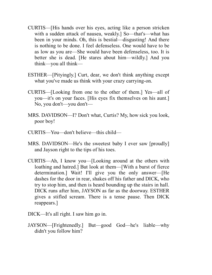- CURTIS—[His hands over his eyes, acting like a person stricken with a sudden attack of nausea, weakly.] So—that's—what has been in your minds. Oh, this is bestial—disgusting! And there is nothing to be done. I feel defenseless. One would have to be as low as you are—She would have been defenseless, too. It is better she is dead. [He stares about him—wildly.] And you think—you all think—
- ESTHER—[Pityingly.] Curt, dear, we don't think anything except what you've made us think with your crazy carrying-on.
- CURTIS—[Looking from one to the other of them.] Yes—all of you—it's on your faces. [His eyes fix themselves on his aunt.] No, you don't—you don't—
- MRS. DAVIDSON—I? Don't what, Curtis? My, how sick you look, poor boy!
- CURTIS—You—don't believe—this child—
- MRS. DAVIDSON—He's the sweetest baby I ever saw [proudly] and Jayson right to the tips of his toes.
- CURTIS—Ah, I know you—[Looking around at the others with loathing and hatred.] But look at them—[With a burst of fierce determination.] Wait! I'll give you the only answer—[He dashes for the door in rear, shakes off his father and DICK, who try to stop him, and then is heard bounding up the stairs in hall. DICK runs after him, JAYSON as far as the doorway. ESTHER gives a stifled scream. There is a tense pause. Then DICK reappears.]
- DICK—It's all right. I saw him go in.
- JAYSON—[Frightenedly.] But—good God—he's liable—why didn't you follow him?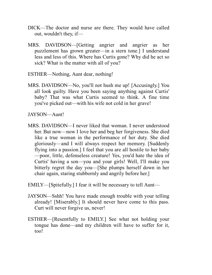- DICK—The doctor and nurse are there. They would have called out, wouldn't they, if—
- MRS. DAVIDSON—[Getting angrier and angrier as her puzzlement has grown greater—in a stern tone.] I understand less and less of this. Where has Curtis gone? Why did he act so sick? What is the matter with all of you?

ESTHER—Nothing, Aunt dear, nothing!

MRS. DAVIDSON—No, you'll not hush me up! [Accusingly.] You all look guilty. Have you been saying anything against Curtis' baby? That was what Curtis seemed to think. A fine time you've picked out—with his wife not cold in her grave!

JAYSON—Aunt!

MRS. DAVIDSON—I never liked that woman. I never understood her. But now—now I love her and beg her forgiveness. She died like a true woman in the performance of her duty. She died gloriously—and I will always respect her memory. [Suddenly flying into a passion.] I feel that you are all hostile to her baby —poor, little, defenseless creature! Yes, you'd hate the idea of Curtis' having a son—you and your girls! Well, I'll make you bitterly regret the day you—[She plumps herself down in her chair again, staring stubbornly and angrily before her.]

EMILY—[Spitefully.] I fear it will be necessary to tell Aunt—

- JAYSON—Sshh! You have made enough trouble with your telling already! [Miserably.] It should never have come to this pass. Curt will never forgive us, never!
- ESTHER—[Resentfully to EMILY.] See what not holding your tongue has done—and my children will have to suffer for it, too!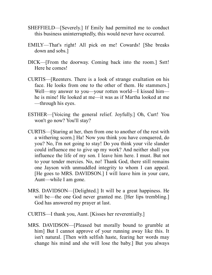- SHEFFIELD—[Severely.] If Emily had permitted me to conduct this business uninterruptedly, this would never have occurred.
- EMILY—That's right! All pick on me! Cowards! [She breaks down and sobs.]
- DICK—[From the doorway. Coming back into the room.] Sstt! Here he comes!
- CURTIS—[Reenters. There is a look of strange exultation on his face. He looks from one to the other of them. He stammers.] Well—my answer to you—your rotten world—I kissed him he is mine! He looked at me—it was as if Martha looked at me —through his eyes.
- ESTHER—[Voicing the general relief. Joyfully.] Oh, Curt! You won't go now? You'll stay?
- CURTIS—[Staring at her, then from one to another of the rest with a withering scorn.] Ha! Now you think you have conquered, do you? No, I'm not going to stay! Do you think your vile slander could influence me to give up my work? And neither shall you influence the life of my son. I leave him here. I must. But not to your tender mercies. No, no! Thank God, there still remains one Jayson with unmuddled integrity to whom I can appeal. [He goes to MRS. DAVIDSON.] I will leave him in your care, Aunt—while I am gone.
- MRS. DAVIDSON—[Delighted.] It will be a great happiness. He will be—the one God never granted me. [Her lips trembling.] God has answered my prayer at last.
- CURTIS—I thank you, Aunt. [Kisses her reverentially.]
- MRS. DAVIDSON—[Pleased but morally bound to grumble at him] But I cannot approve of your running away like this. It isn't natural. [Then with selfish haste, fearing her words may change his mind and she will lose the baby.] But you always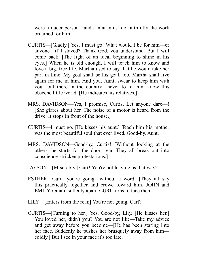were a queer person—and a man must do faithfully the work ordained for him.

- CURTIS—[Gladly.] Yes, I must go! What would I be for him—or anyone—if I stayed? Thank God, you understand. But I will come back. [The light of an ideal beginning to shine in his eyes.] When he is old enough, I will teach him to know and love a big, free life. Martha used to say that he would take her part in time. My goal shall be his goal, too. Martha shall live again for me in him. And you, Aunt, swear to keep him with you—out there in the country—never to let him know this obscene little world. [He indicates his relatives.]
- MRS. DAVIDSON—Yes, I promise, Curtis. Let anyone dare—! [She glares about her. The noise of a motor is heard from the drive. It stops in front of the house.]
- CURTIS—I must go. [He kisses his aunt.] Teach him his mother was the most beautiful soul that ever lived. Good-by, Aunt.
- MRS. DAVIDSON—Good-by, Curtis! [Without looking at the others, he starts for the door, rear. They all break out into conscience-stricken protestations.]
- JAYSON—[Miserably.] Curt! You're not leaving us that way?
- ESTHER—Curt—you're going—without a word! [They all say this practically together and crowd toward him. JOHN and EMILY remain sullenly apart. CURT turns to face them.]
- LILY—[Enters from the rear.] You're not going, Curt?
- CURTIS—[Turning to her.] Yes. Good-by, Lily. [He kisses her.] You loved her, didn't you? You are not like—Take my advice and get away before you become—[He has been staring into her face. Suddenly he pushes her brusquely away from him coldly.] But I see in your face it's too late.